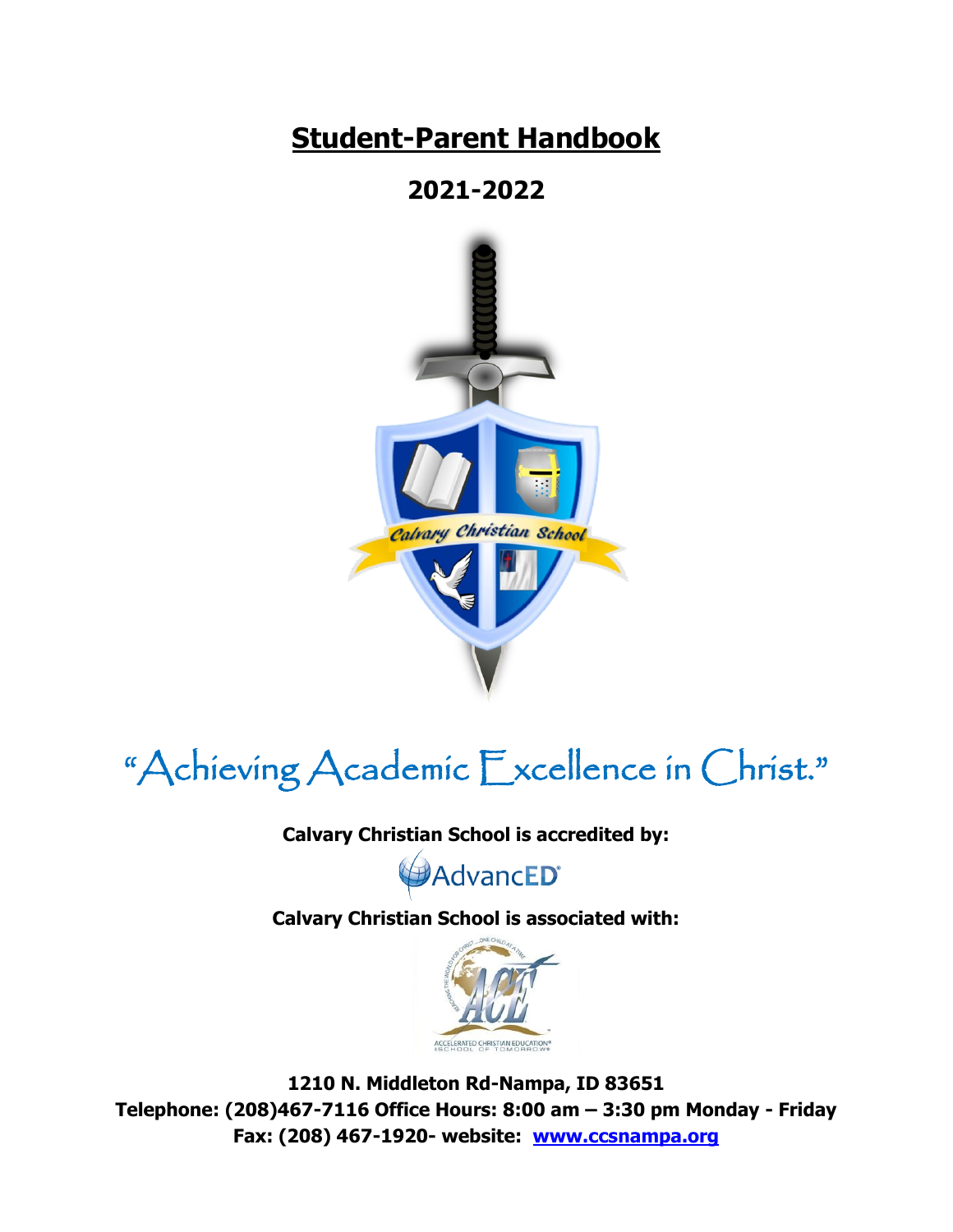# **Student-Parent Handbook**

# **2021-2022**



# "Achieving Academic Excellence in Christ."

**Calvary Christian School is accredited by:** 

AdvancED®

**Calvary Christian School is associated with:**



**1210 N. Middleton Rd-Nampa, ID 83651 Telephone: (208)467-7116 Office Hours: 8:00 am – 3:30 pm Monday - Friday Fax: (208) 467-1920- website: [www.ccsnampa.org](http://www.ccsnampa.org/)**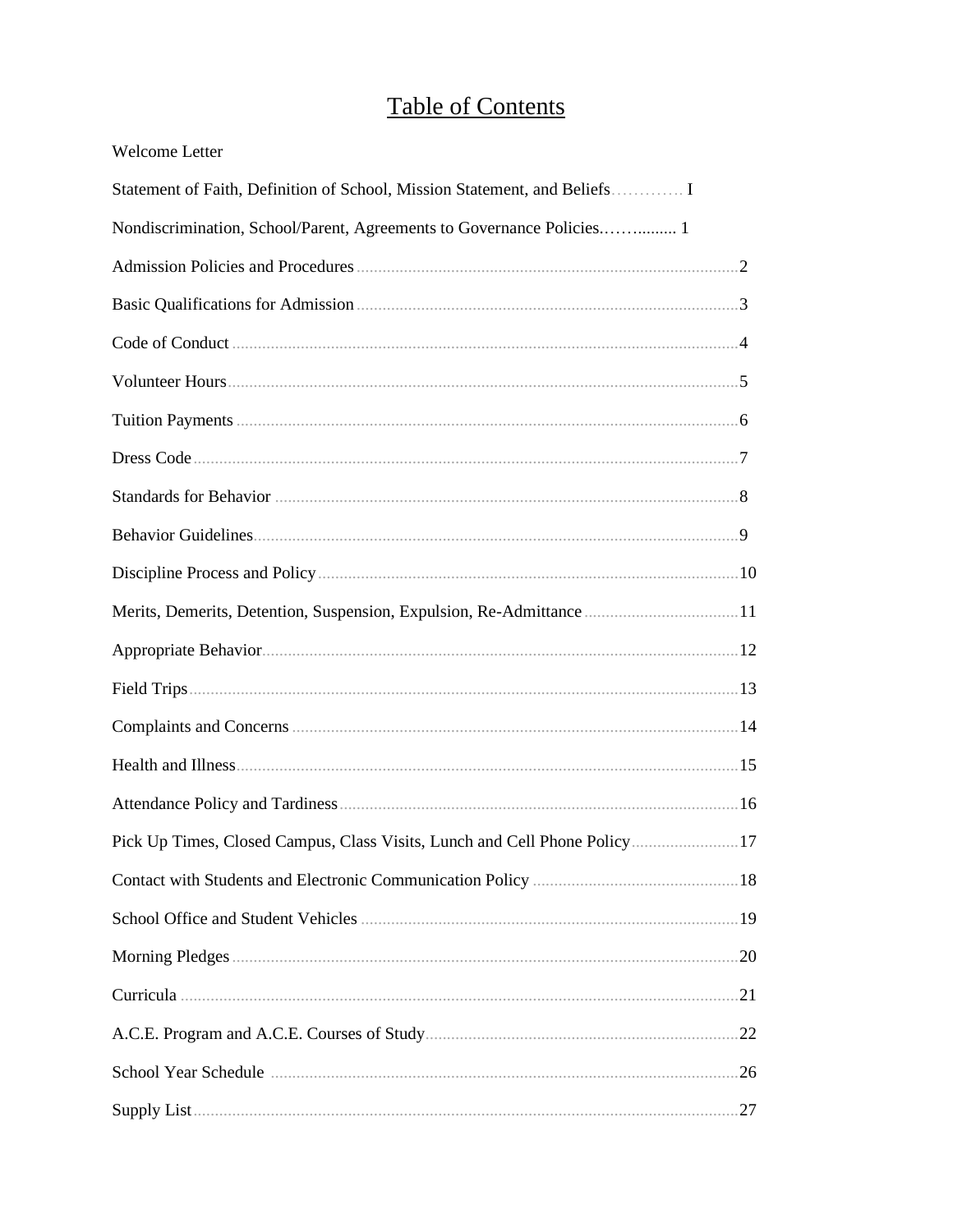## **Table of Contents**

| Welcome Letter                                                             |  |
|----------------------------------------------------------------------------|--|
| Statement of Faith, Definition of School, Mission Statement, and Beliefs I |  |
| Nondiscrimination, School/Parent, Agreements to Governance Policies 1      |  |
|                                                                            |  |
|                                                                            |  |
|                                                                            |  |
|                                                                            |  |
|                                                                            |  |
|                                                                            |  |
|                                                                            |  |
|                                                                            |  |
|                                                                            |  |
| Merits, Demerits, Detention, Suspension, Expulsion, Re-Admittance11        |  |
|                                                                            |  |
|                                                                            |  |
|                                                                            |  |
|                                                                            |  |
|                                                                            |  |
| Pick Up Times, Closed Campus, Class Visits, Lunch and Cell Phone Policy 17 |  |
|                                                                            |  |
|                                                                            |  |
|                                                                            |  |
|                                                                            |  |
|                                                                            |  |
|                                                                            |  |
|                                                                            |  |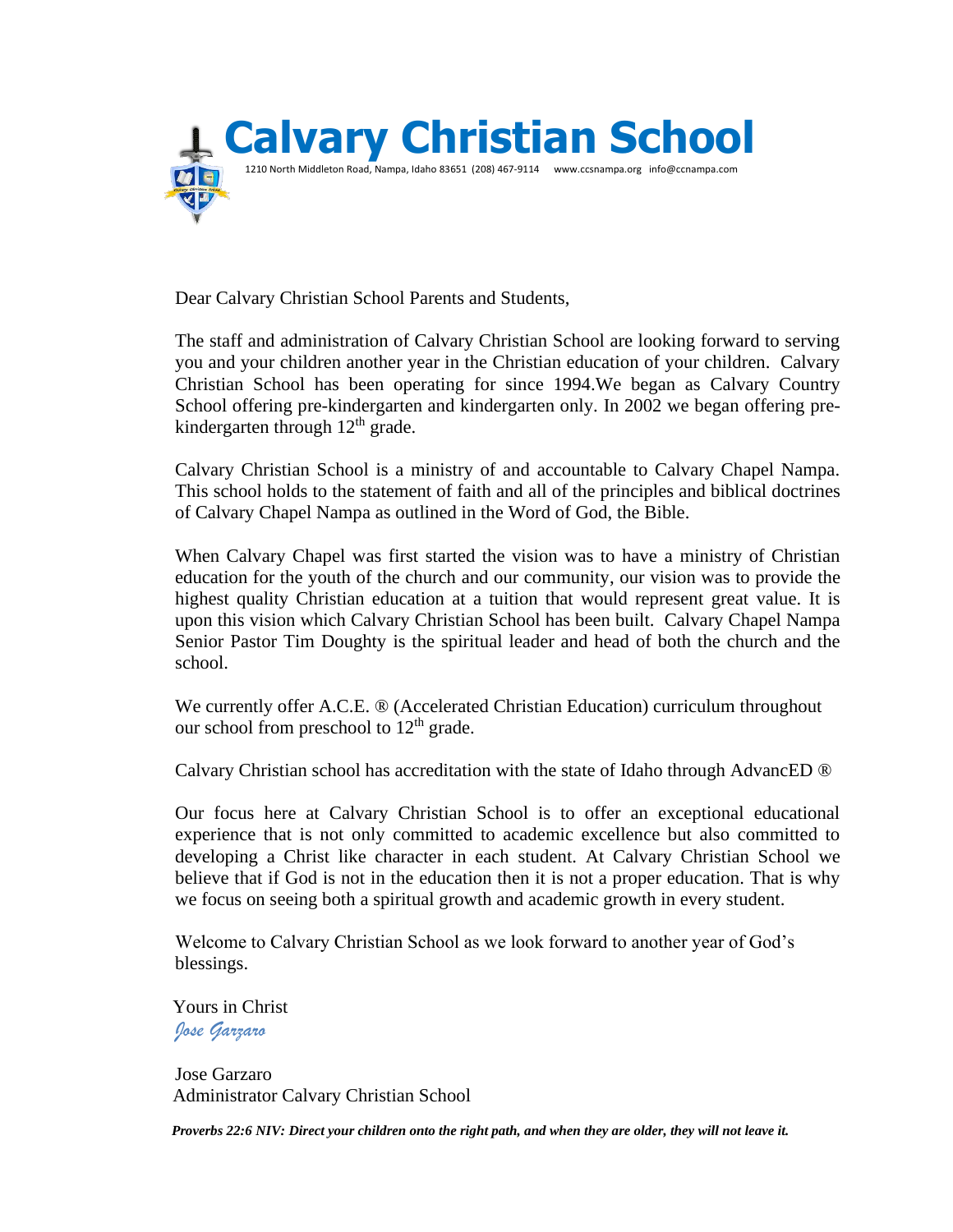

Dear Calvary Christian School Parents and Students,

The staff and administration of Calvary Christian School are looking forward to serving you and your children another year in the Christian education of your children. Calvary Christian School has been operating for since 1994.We began as Calvary Country School offering pre-kindergarten and kindergarten only. In 2002 we began offering prekindergarten through  $12<sup>th</sup>$  grade.

Calvary Christian School is a ministry of and accountable to Calvary Chapel Nampa. This school holds to the statement of faith and all of the principles and biblical doctrines of Calvary Chapel Nampa as outlined in the Word of God, the Bible.

When Calvary Chapel was first started the vision was to have a ministry of Christian education for the youth of the church and our community, our vision was to provide the highest quality Christian education at a tuition that would represent great value. It is upon this vision which Calvary Christian School has been built. Calvary Chapel Nampa Senior Pastor Tim Doughty is the spiritual leader and head of both the church and the school.

We currently offer A.C.E. ® (Accelerated Christian Education) curriculum throughout our school from preschool to  $12<sup>th</sup>$  grade.

Calvary Christian school has accreditation with the state of Idaho through AdvancED ®

Our focus here at Calvary Christian School is to offer an exceptional educational experience that is not only committed to academic excellence but also committed to developing a Christ like character in each student. At Calvary Christian School we believe that if God is not in the education then it is not a proper education. That is why we focus on seeing both a spiritual growth and academic growth in every student.

Welcome to Calvary Christian School as we look forward to another year of God's blessings.

 Yours in Christ *Jose Garzaro*

Jose Garzaro Administrator Calvary Christian School

 *Proverbs 22:6 NIV: Direct your children onto the right path, and when they are older, they will not leave it.*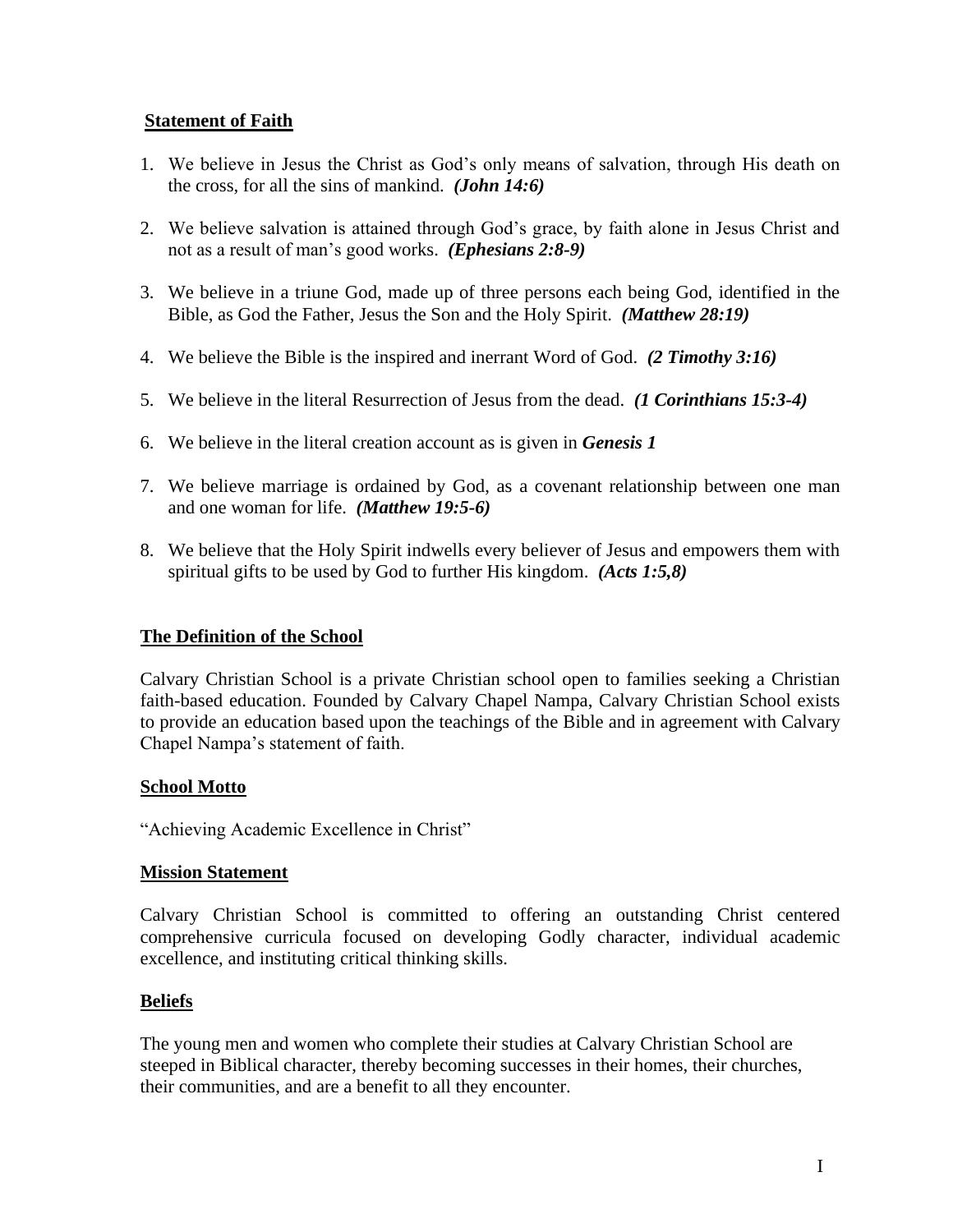### **Statement of Faith**

- 1. We believe in Jesus the Christ as God's only means of salvation, through His death on the cross, for all the sins of mankind. *(John 14:6)*
- 2. We believe salvation is attained through God's grace, by faith alone in Jesus Christ and not as a result of man's good works. *(Ephesians 2:8-9)*
- 3. We believe in a triune God, made up of three persons each being God, identified in the Bible, as God the Father, Jesus the Son and the Holy Spirit. *(Matthew 28:19)*
- 4. We believe the Bible is the inspired and inerrant Word of God. *(2 Timothy 3:16)*
- 5. We believe in the literal Resurrection of Jesus from the dead. *(1 Corinthians 15:3-4)*
- 6. We believe in the literal creation account as is given in *Genesis 1*
- 7. We believe marriage is ordained by God, as a covenant relationship between one man and one woman for life. *(Matthew 19:5-6)*
- 8. We believe that the Holy Spirit indwells every believer of Jesus and empowers them with spiritual gifts to be used by God to further His kingdom. *(Acts 1:5,8)*

### **The Definition of the School**

Calvary Christian School is a private Christian school open to families seeking a Christian faith-based education. Founded by Calvary Chapel Nampa, Calvary Christian School exists to provide an education based upon the teachings of the Bible and in agreement with Calvary Chapel Nampa's statement of faith.

#### **School Motto**

"Achieving Academic Excellence in Christ"

#### **Mission Statement**

Calvary Christian School is committed to offering an outstanding Christ centered comprehensive curricula focused on developing Godly character, individual academic excellence, and instituting critical thinking skills.

### **Beliefs**

The young men and women who complete their studies at Calvary Christian School are steeped in Biblical character, thereby becoming successes in their homes, their churches, their communities, and are a benefit to all they encounter.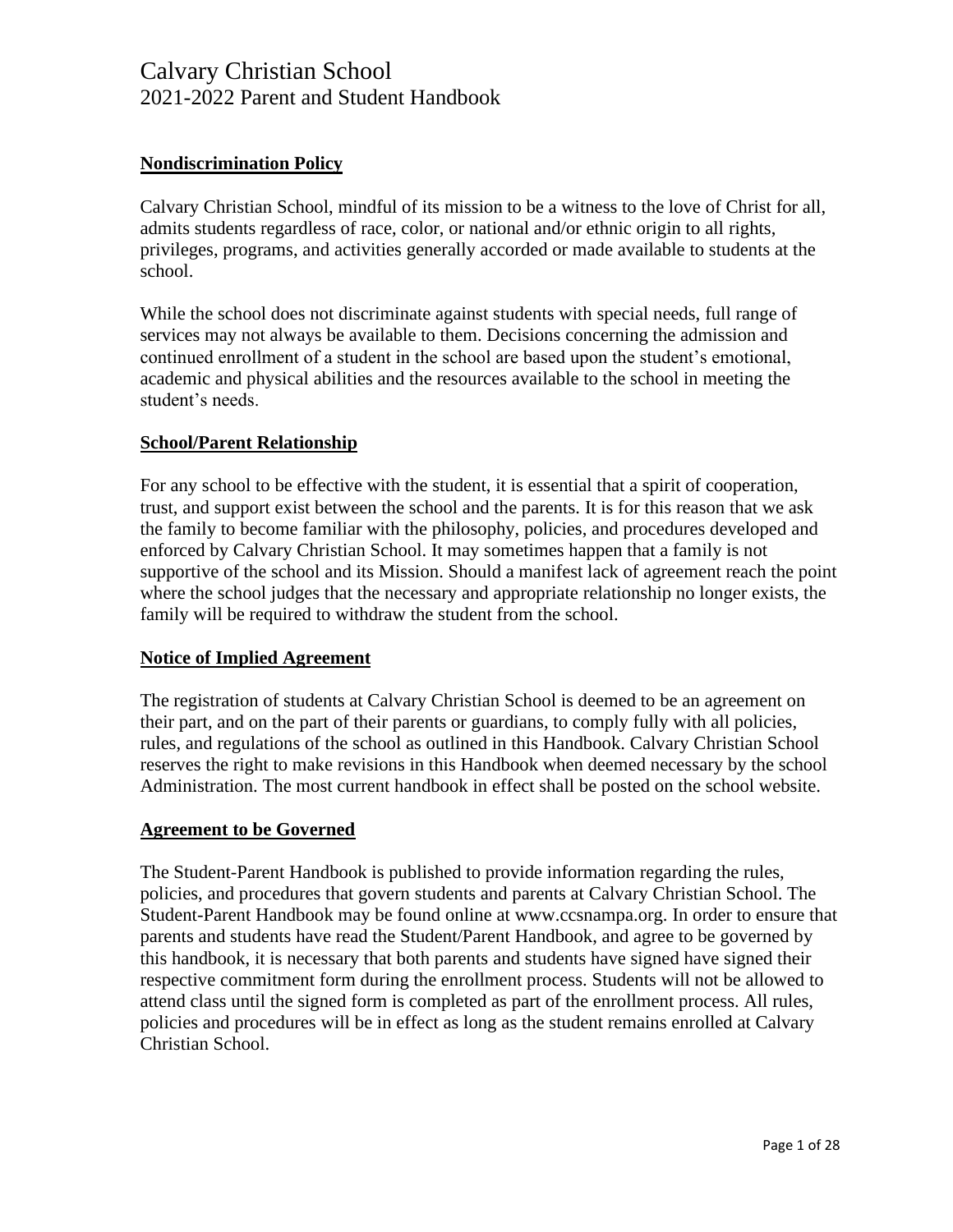### **Nondiscrimination Policy**

Calvary Christian School, mindful of its mission to be a witness to the love of Christ for all, admits students regardless of race, color, or national and/or ethnic origin to all rights, privileges, programs, and activities generally accorded or made available to students at the school.

While the school does not discriminate against students with special needs, full range of services may not always be available to them. Decisions concerning the admission and continued enrollment of a student in the school are based upon the student's emotional, academic and physical abilities and the resources available to the school in meeting the student's needs.

#### **School/Parent Relationship**

For any school to be effective with the student, it is essential that a spirit of cooperation, trust, and support exist between the school and the parents. It is for this reason that we ask the family to become familiar with the philosophy, policies, and procedures developed and enforced by Calvary Christian School. It may sometimes happen that a family is not supportive of the school and its Mission. Should a manifest lack of agreement reach the point where the school judges that the necessary and appropriate relationship no longer exists, the family will be required to withdraw the student from the school.

#### **Notice of Implied Agreement**

The registration of students at Calvary Christian School is deemed to be an agreement on their part, and on the part of their parents or guardians, to comply fully with all policies, rules, and regulations of the school as outlined in this Handbook. Calvary Christian School reserves the right to make revisions in this Handbook when deemed necessary by the school Administration. The most current handbook in effect shall be posted on the school website.

#### **Agreement to be Governed**

The Student-Parent Handbook is published to provide information regarding the rules, policies, and procedures that govern students and parents at Calvary Christian School. The Student-Parent Handbook may be found online at www.ccsnampa.org. In order to ensure that parents and students have read the Student/Parent Handbook, and agree to be governed by this handbook, it is necessary that both parents and students have signed have signed their respective commitment form during the enrollment process. Students will not be allowed to attend class until the signed form is completed as part of the enrollment process. All rules, policies and procedures will be in effect as long as the student remains enrolled at Calvary Christian School.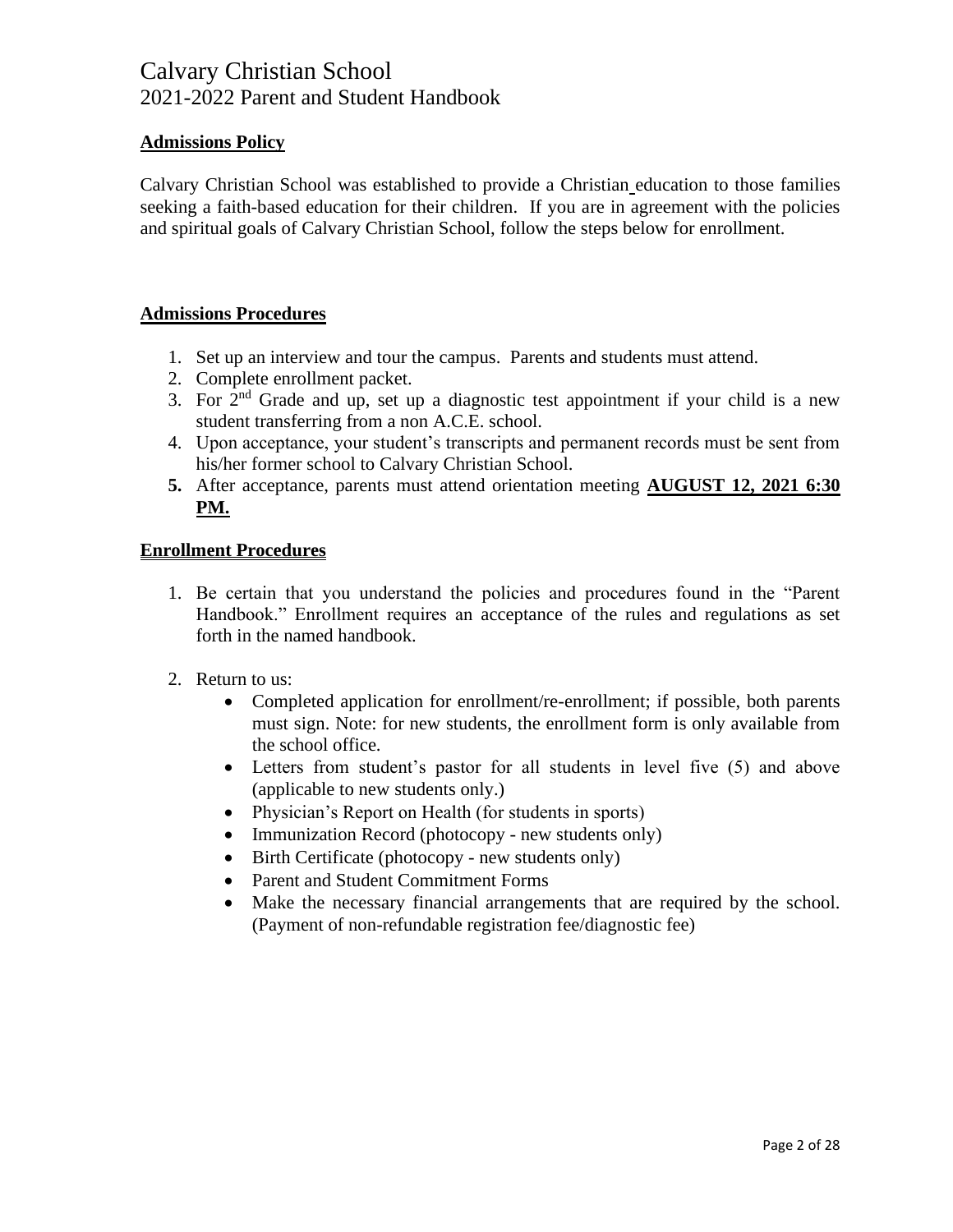### **Admissions Policy**

Calvary Christian School was established to provide a Christian education to those families seeking a faith-based education for their children. If you are in agreement with the policies and spiritual goals of Calvary Christian School, follow the steps below for enrollment.

### **Admissions Procedures**

- 1. Set up an interview and tour the campus. Parents and students must attend.
- 2. Complete enrollment packet.
- 3. For  $2<sup>nd</sup>$  Grade and up, set up a diagnostic test appointment if your child is a new student transferring from a non A.C.E. school.
- 4. Upon acceptance, your student's transcripts and permanent records must be sent from his/her former school to Calvary Christian School.
- **5.** After acceptance, parents must attend orientation meeting **AUGUST 12, 2021 6:30 PM.**

### **Enrollment Procedures**

- 1. Be certain that you understand the policies and procedures found in the "Parent Handbook." Enrollment requires an acceptance of the rules and regulations as set forth in the named handbook.
- 2. Return to us:
	- Completed application for enrollment/re-enrollment; if possible, both parents must sign. Note: for new students, the enrollment form is only available from the school office.
	- Letters from student's pastor for all students in level five (5) and above (applicable to new students only.)
	- Physician's Report on Health (for students in sports)
	- Immunization Record (photocopy new students only)
	- Birth Certificate (photocopy new students only)
	- Parent and Student Commitment Forms
	- Make the necessary financial arrangements that are required by the school. (Payment of non-refundable registration fee/diagnostic fee)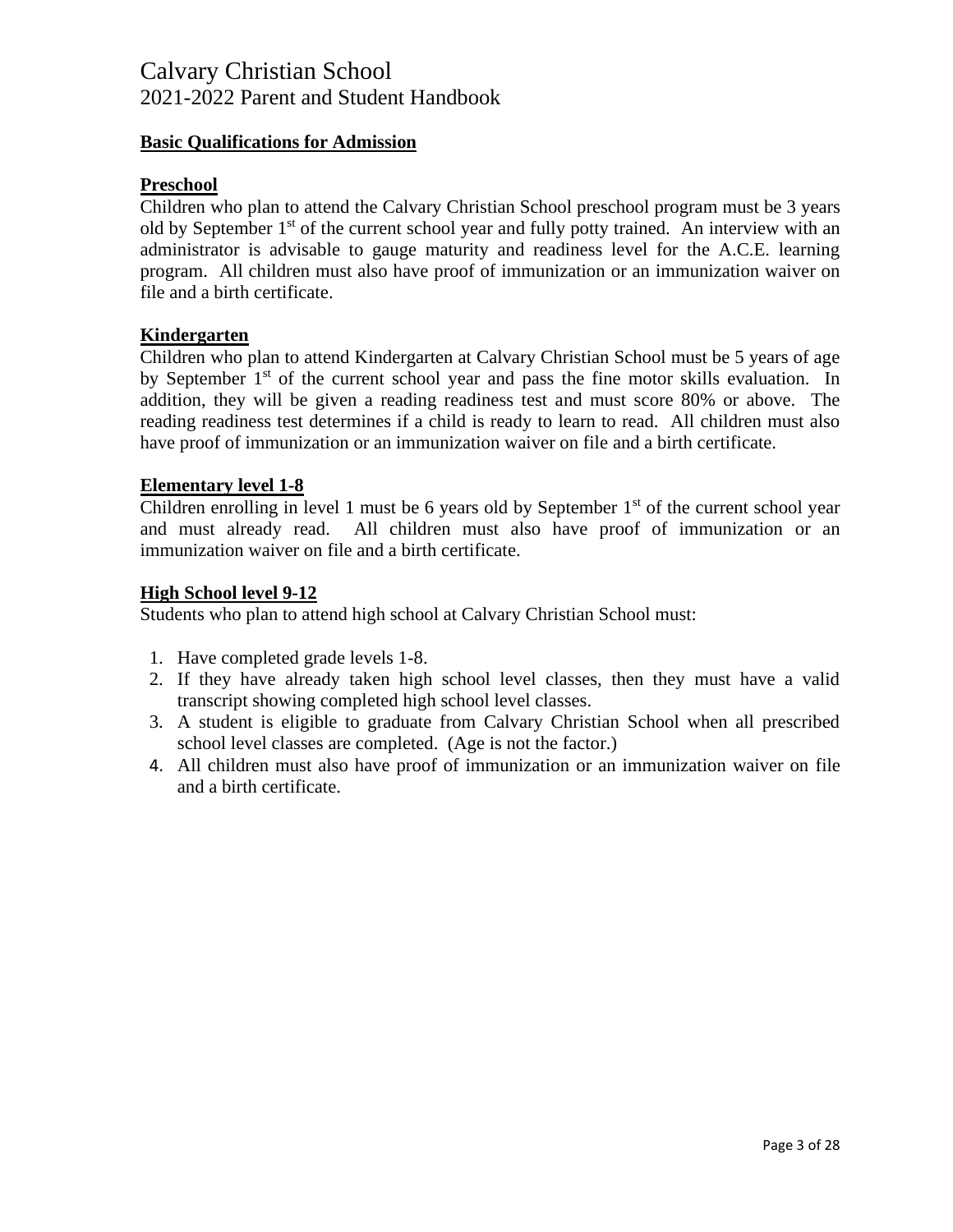### **Basic Qualifications for Admission**

#### **Preschool**

Children who plan to attend the Calvary Christian School preschool program must be 3 years old by September 1<sup>st</sup> of the current school year and fully potty trained. An interview with an administrator is advisable to gauge maturity and readiness level for the A.C.E. learning program. All children must also have proof of immunization or an immunization waiver on file and a birth certificate.

#### **Kindergarten**

Children who plan to attend Kindergarten at Calvary Christian School must be 5 years of age by September 1<sup>st</sup> of the current school year and pass the fine motor skills evaluation. In addition, they will be given a reading readiness test and must score 80% or above. The reading readiness test determines if a child is ready to learn to read. All children must also have proof of immunization or an immunization waiver on file and a birth certificate.

#### **Elementary level 1-8**

Children enrolling in level 1 must be 6 years old by September  $1<sup>st</sup>$  of the current school year and must already read. All children must also have proof of immunization or an immunization waiver on file and a birth certificate.

#### **High School level 9-12**

Students who plan to attend high school at Calvary Christian School must:

- 1. Have completed grade levels 1-8.
- 2. If they have already taken high school level classes, then they must have a valid transcript showing completed high school level classes.
- 3. A student is eligible to graduate from Calvary Christian School when all prescribed school level classes are completed. (Age is not the factor.)
- 4. All children must also have proof of immunization or an immunization waiver on file and a birth certificate.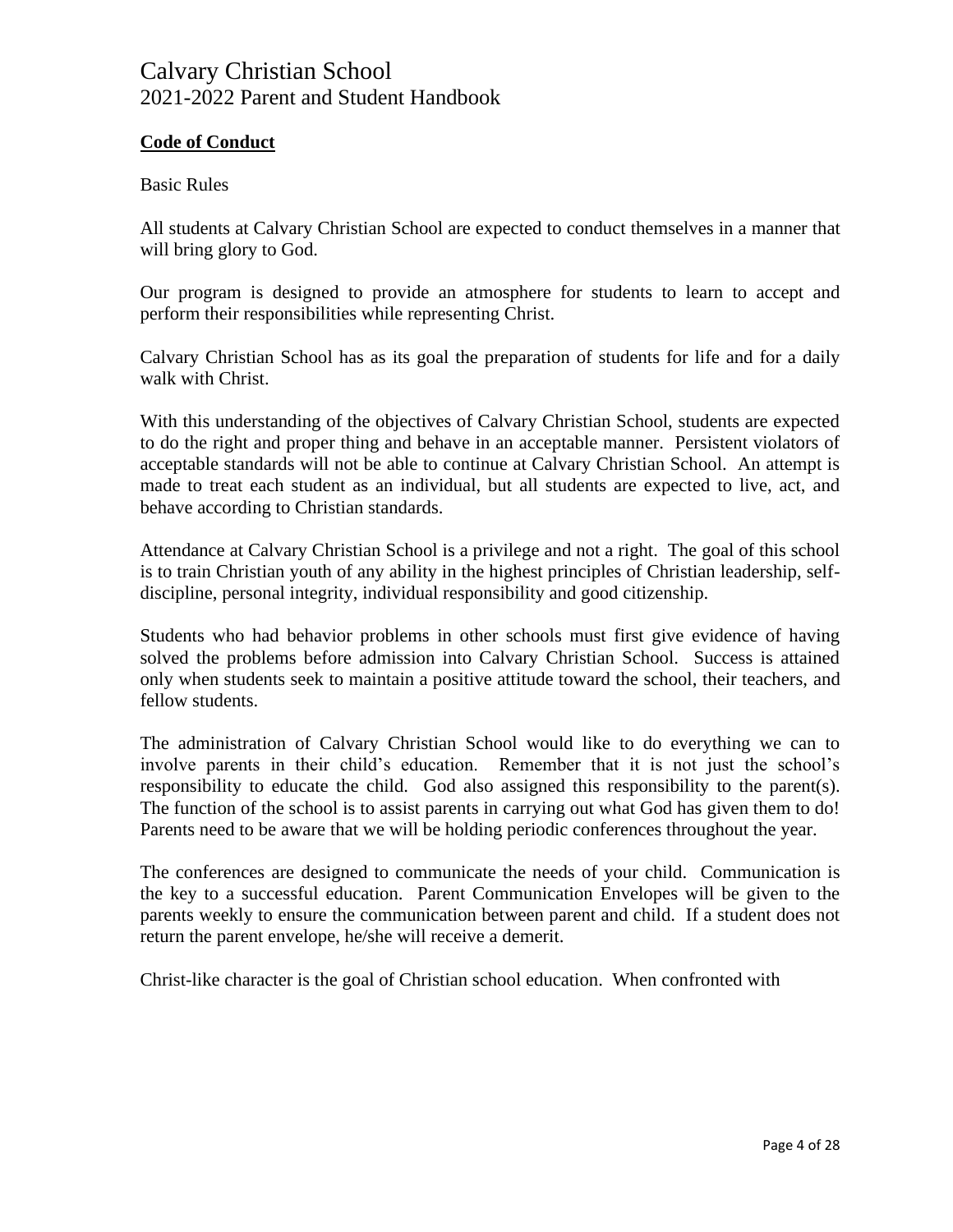### **Code of Conduct**

#### Basic Rules

All students at Calvary Christian School are expected to conduct themselves in a manner that will bring glory to God.

Our program is designed to provide an atmosphere for students to learn to accept and perform their responsibilities while representing Christ.

Calvary Christian School has as its goal the preparation of students for life and for a daily walk with Christ.

With this understanding of the objectives of Calvary Christian School, students are expected to do the right and proper thing and behave in an acceptable manner. Persistent violators of acceptable standards will not be able to continue at Calvary Christian School. An attempt is made to treat each student as an individual, but all students are expected to live, act, and behave according to Christian standards.

Attendance at Calvary Christian School is a privilege and not a right. The goal of this school is to train Christian youth of any ability in the highest principles of Christian leadership, selfdiscipline, personal integrity, individual responsibility and good citizenship.

Students who had behavior problems in other schools must first give evidence of having solved the problems before admission into Calvary Christian School. Success is attained only when students seek to maintain a positive attitude toward the school, their teachers, and fellow students.

The administration of Calvary Christian School would like to do everything we can to involve parents in their child's education. Remember that it is not just the school's responsibility to educate the child. God also assigned this responsibility to the parent(s). The function of the school is to assist parents in carrying out what God has given them to do! Parents need to be aware that we will be holding periodic conferences throughout the year.

The conferences are designed to communicate the needs of your child. Communication is the key to a successful education. Parent Communication Envelopes will be given to the parents weekly to ensure the communication between parent and child. If a student does not return the parent envelope, he/she will receive a demerit.

Christ-like character is the goal of Christian school education. When confronted with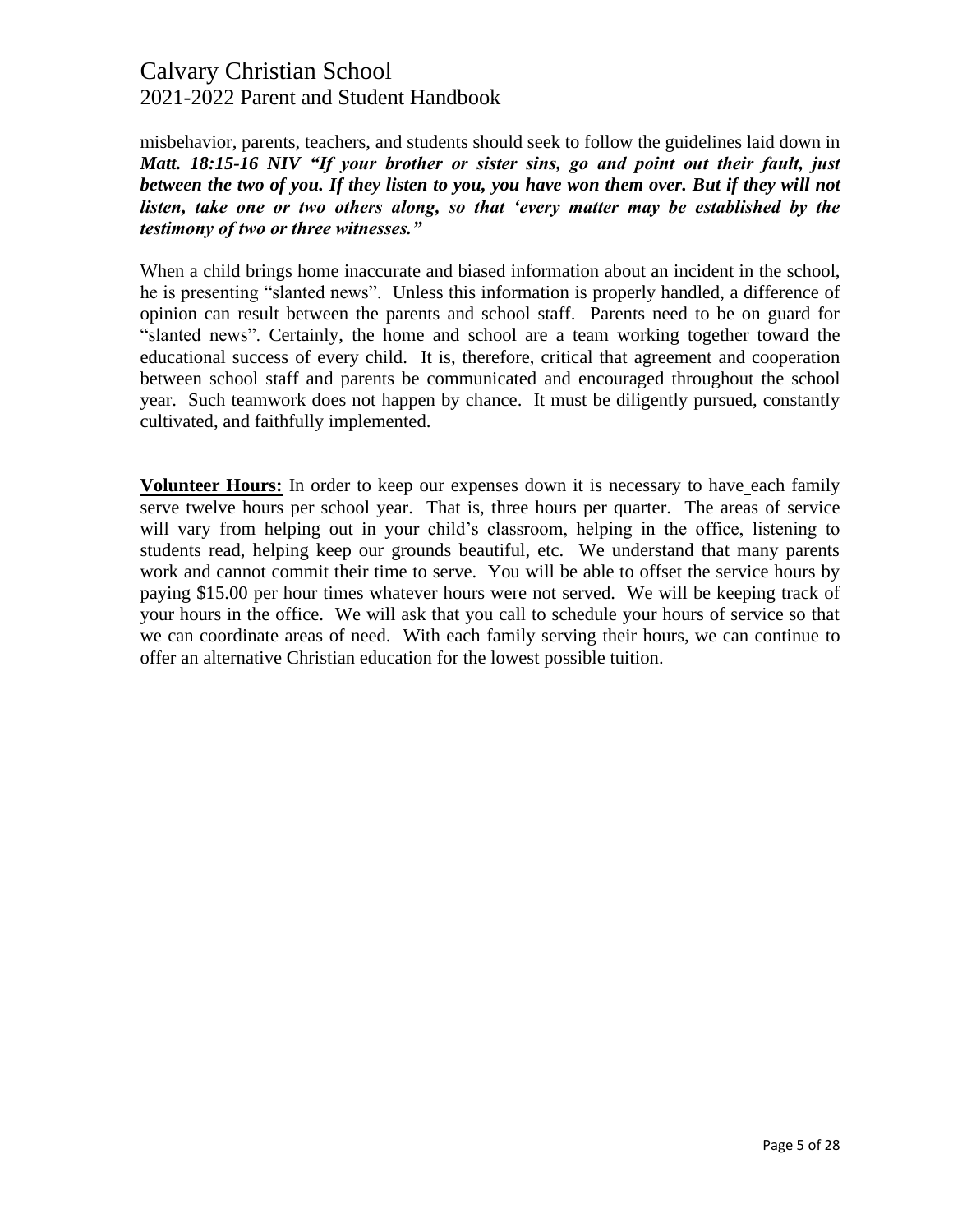misbehavior, parents, teachers, and students should seek to follow the guidelines laid down in *Matt. 18:15-16 NIV "If your brother or sister sins, go and point out their fault, just*  between the two of you. If they listen to you, you have won them over. But if they will not *listen, take one or two others along, so that 'every matter may be established by the testimony of two or three witnesses."*

When a child brings home inaccurate and biased information about an incident in the school, he is presenting "slanted news". Unless this information is properly handled, a difference of opinion can result between the parents and school staff. Parents need to be on guard for "slanted news". Certainly, the home and school are a team working together toward the educational success of every child. It is, therefore, critical that agreement and cooperation between school staff and parents be communicated and encouraged throughout the school year. Such teamwork does not happen by chance. It must be diligently pursued, constantly cultivated, and faithfully implemented.

**Volunteer Hours:** In order to keep our expenses down it is necessary to have each family serve twelve hours per school year. That is, three hours per quarter. The areas of service will vary from helping out in your child's classroom, helping in the office, listening to students read, helping keep our grounds beautiful, etc. We understand that many parents work and cannot commit their time to serve. You will be able to offset the service hours by paying \$15.00 per hour times whatever hours were not served. We will be keeping track of your hours in the office. We will ask that you call to schedule your hours of service so that we can coordinate areas of need. With each family serving their hours, we can continue to offer an alternative Christian education for the lowest possible tuition.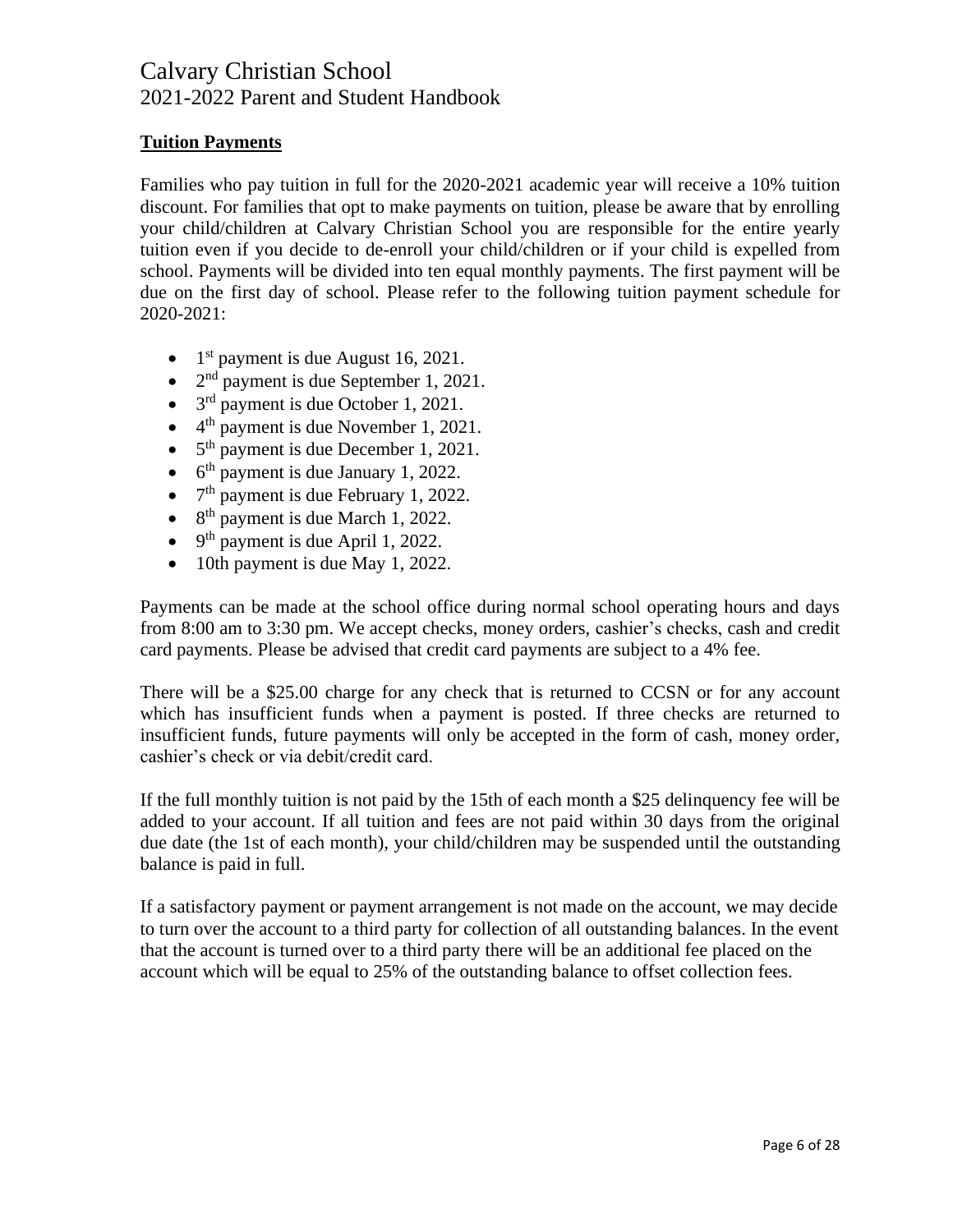### **Tuition Payments**

Families who pay tuition in full for the 2020-2021 academic year will receive a 10% tuition discount. For families that opt to make payments on tuition, please be aware that by enrolling your child/children at Calvary Christian School you are responsible for the entire yearly tuition even if you decide to de-enroll your child/children or if your child is expelled from school. Payments will be divided into ten equal monthly payments. The first payment will be due on the first day of school. Please refer to the following tuition payment schedule for 2020-2021:

- $\bullet$  1<sup>st</sup> payment is due August 16, 2021.
- $2<sup>nd</sup>$  payment is due September 1, 2021.
- $\bullet$  3<sup>rd</sup> payment is due October 1, 2021.
- $\bullet$  4<sup>th</sup> payment is due November 1, 2021.
- $\bullet$  5<sup>th</sup> payment is due December 1, 2021.
- $\bullet$  6<sup>th</sup> payment is due January 1, 2022.
- $\bullet$  7<sup>th</sup> payment is due February 1, 2022.
- $\bullet$  8<sup>th</sup> payment is due March 1, 2022.
- $\bullet$  9<sup>th</sup> payment is due April 1, 2022.
- 10th payment is due May 1, 2022.

Payments can be made at the school office during normal school operating hours and days from 8:00 am to 3:30 pm. We accept checks, money orders, cashier's checks, cash and credit card payments. Please be advised that credit card payments are subject to a 4% fee.

There will be a \$25.00 charge for any check that is returned to CCSN or for any account which has insufficient funds when a payment is posted. If three checks are returned to insufficient funds, future payments will only be accepted in the form of cash, money order, cashier's check or via debit/credit card.

If the full monthly tuition is not paid by the 15th of each month a \$25 delinquency fee will be added to your account. If all tuition and fees are not paid within 30 days from the original due date (the 1st of each month), your child/children may be suspended until the outstanding balance is paid in full.

If a satisfactory payment or payment arrangement is not made on the account, we may decide to turn over the account to a third party for collection of all outstanding balances. In the event that the account is turned over to a third party there will be an additional fee placed on the account which will be equal to 25% of the outstanding balance to offset collection fees.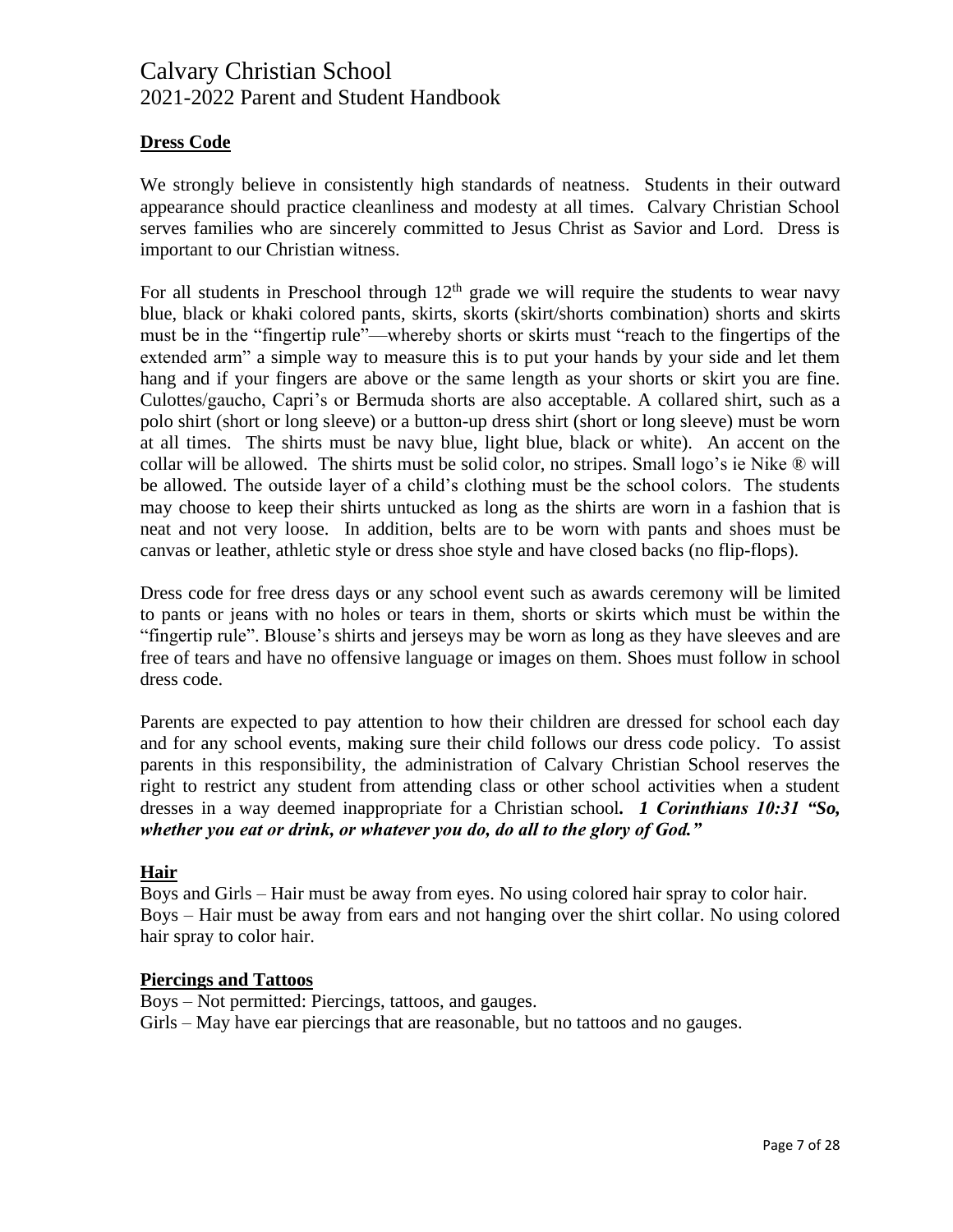### **Dress Code**

We strongly believe in consistently high standards of neatness. Students in their outward appearance should practice cleanliness and modesty at all times. Calvary Christian School serves families who are sincerely committed to Jesus Christ as Savior and Lord. Dress is important to our Christian witness.

For all students in Preschool through  $12<sup>th</sup>$  grade we will require the students to wear navy blue, black or khaki colored pants, skirts, skorts (skirt/shorts combination) shorts and skirts must be in the "fingertip rule"—whereby shorts or skirts must "reach to the fingertips of the extended arm" a simple way to measure this is to put your hands by your side and let them hang and if your fingers are above or the same length as your shorts or skirt you are fine. Culottes/gaucho, Capri's or Bermuda shorts are also acceptable. A collared shirt, such as a polo shirt (short or long sleeve) or a button-up dress shirt (short or long sleeve) must be worn at all times. The shirts must be navy blue, light blue, black or white). An accent on the collar will be allowed. The shirts must be solid color, no stripes. Small logo's ie Nike ® will be allowed. The outside layer of a child's clothing must be the school colors. The students may choose to keep their shirts untucked as long as the shirts are worn in a fashion that is neat and not very loose. In addition, belts are to be worn with pants and shoes must be canvas or leather, athletic style or dress shoe style and have closed backs (no flip-flops).

Dress code for free dress days or any school event such as awards ceremony will be limited to pants or jeans with no holes or tears in them, shorts or skirts which must be within the "fingertip rule". Blouse's shirts and jerseys may be worn as long as they have sleeves and are free of tears and have no offensive language or images on them. Shoes must follow in school dress code.

Parents are expected to pay attention to how their children are dressed for school each day and for any school events, making sure their child follows our dress code policy. To assist parents in this responsibility, the administration of Calvary Christian School reserves the right to restrict any student from attending class or other school activities when a student dresses in a way deemed inappropriate for a Christian school*. 1 Corinthians 10:31 "So, whether you eat or drink, or whatever you do, do all to the glory of God."*

### **Hair**

Boys and Girls – Hair must be away from eyes. No using colored hair spray to color hair. Boys – Hair must be away from ears and not hanging over the shirt collar. No using colored hair spray to color hair.

#### **Piercings and Tattoos**

Boys – Not permitted: Piercings, tattoos, and gauges.

Girls – May have ear piercings that are reasonable, but no tattoos and no gauges.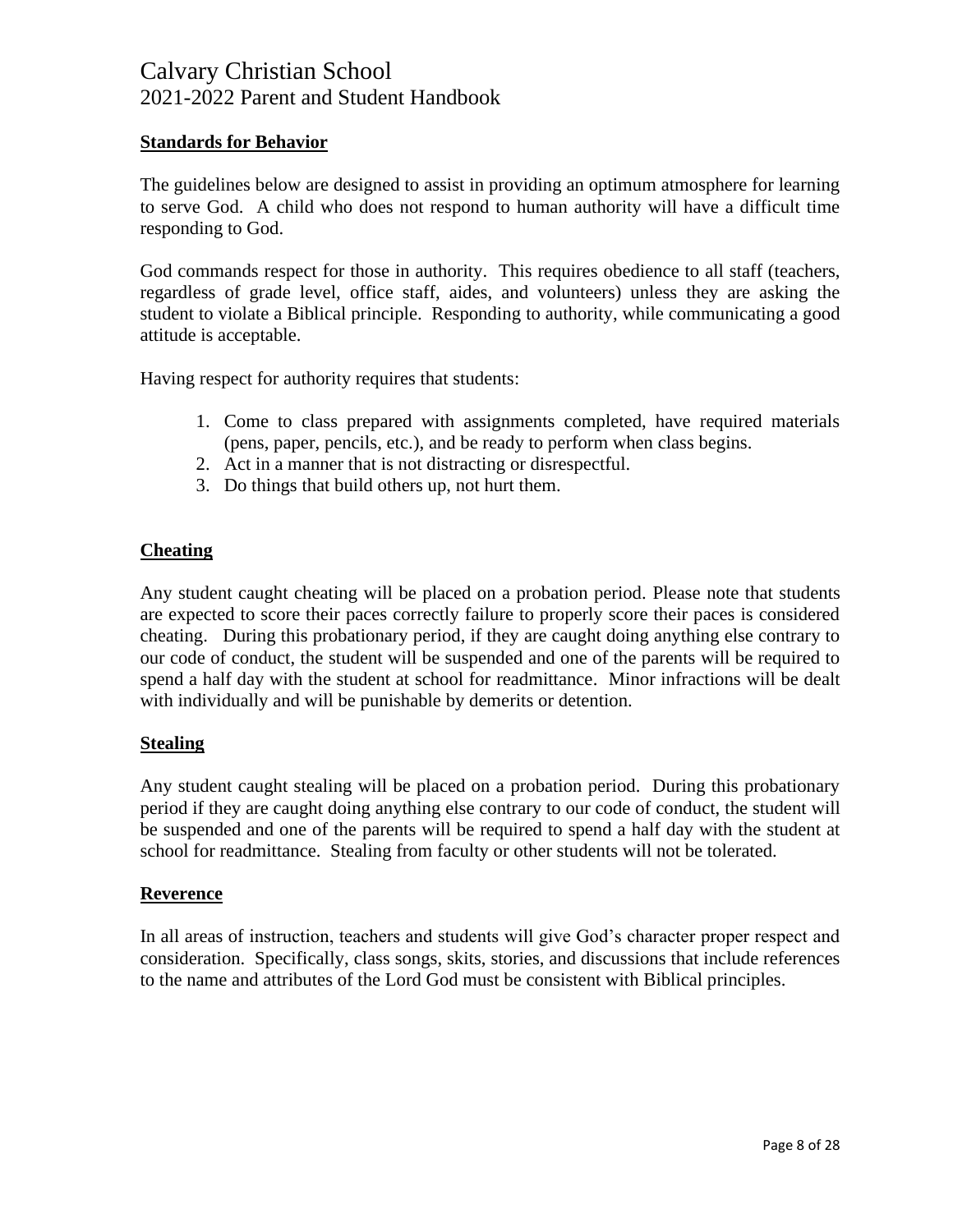### **Standards for Behavior**

The guidelines below are designed to assist in providing an optimum atmosphere for learning to serve God. A child who does not respond to human authority will have a difficult time responding to God.

God commands respect for those in authority. This requires obedience to all staff (teachers, regardless of grade level, office staff, aides, and volunteers) unless they are asking the student to violate a Biblical principle. Responding to authority, while communicating a good attitude is acceptable.

Having respect for authority requires that students:

- 1. Come to class prepared with assignments completed, have required materials (pens, paper, pencils, etc.), and be ready to perform when class begins.
- 2. Act in a manner that is not distracting or disrespectful.
- 3. Do things that build others up, not hurt them.

### **Cheating**

Any student caught cheating will be placed on a probation period. Please note that students are expected to score their paces correctly failure to properly score their paces is considered cheating. During this probationary period, if they are caught doing anything else contrary to our code of conduct, the student will be suspended and one of the parents will be required to spend a half day with the student at school for readmittance. Minor infractions will be dealt with individually and will be punishable by demerits or detention.

#### **Stealing**

Any student caught stealing will be placed on a probation period. During this probationary period if they are caught doing anything else contrary to our code of conduct, the student will be suspended and one of the parents will be required to spend a half day with the student at school for readmittance. Stealing from faculty or other students will not be tolerated.

#### **Reverence**

In all areas of instruction, teachers and students will give God's character proper respect and consideration. Specifically, class songs, skits, stories, and discussions that include references to the name and attributes of the Lord God must be consistent with Biblical principles.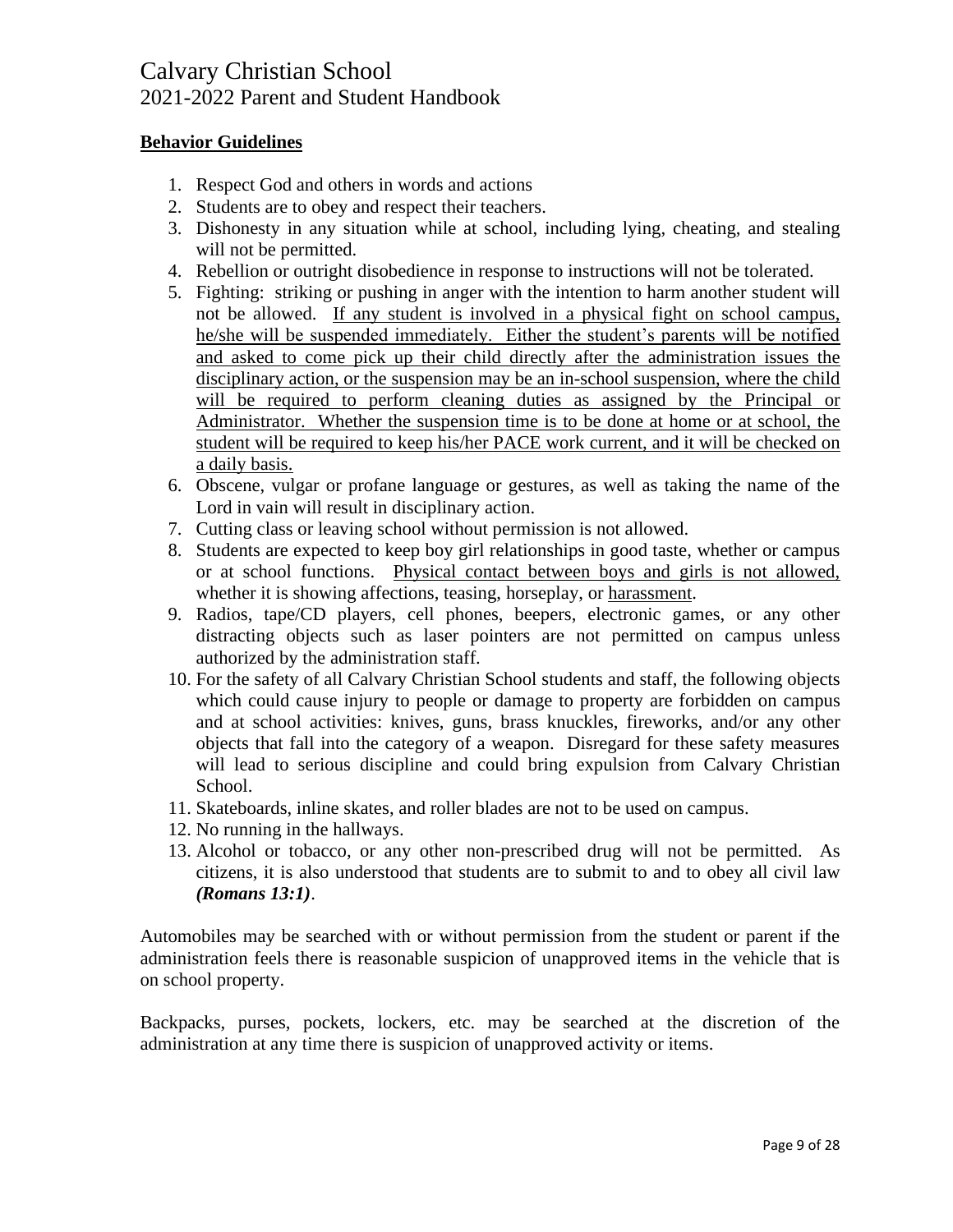### **Behavior Guidelines**

- 1. Respect God and others in words and actions
- 2. Students are to obey and respect their teachers.
- 3. Dishonesty in any situation while at school, including lying, cheating, and stealing will not be permitted.
- 4. Rebellion or outright disobedience in response to instructions will not be tolerated.
- 5. Fighting: striking or pushing in anger with the intention to harm another student will not be allowed. If any student is involved in a physical fight on school campus, he/she will be suspended immediately. Either the student's parents will be notified and asked to come pick up their child directly after the administration issues the disciplinary action, or the suspension may be an in-school suspension, where the child will be required to perform cleaning duties as assigned by the Principal or Administrator. Whether the suspension time is to be done at home or at school, the student will be required to keep his/her PACE work current, and it will be checked on a daily basis.
- 6. Obscene, vulgar or profane language or gestures, as well as taking the name of the Lord in vain will result in disciplinary action.
- 7. Cutting class or leaving school without permission is not allowed.
- 8. Students are expected to keep boy girl relationships in good taste, whether or campus or at school functions. Physical contact between boys and girls is not allowed, whether it is showing affections, teasing, horseplay, or harassment.
- 9. Radios, tape/CD players, cell phones, beepers, electronic games, or any other distracting objects such as laser pointers are not permitted on campus unless authorized by the administration staff.
- 10. For the safety of all Calvary Christian School students and staff, the following objects which could cause injury to people or damage to property are forbidden on campus and at school activities: knives, guns, brass knuckles, fireworks, and/or any other objects that fall into the category of a weapon. Disregard for these safety measures will lead to serious discipline and could bring expulsion from Calvary Christian School.
- 11. Skateboards, inline skates, and roller blades are not to be used on campus.
- 12. No running in the hallways.
- 13. Alcohol or tobacco, or any other non-prescribed drug will not be permitted. As citizens, it is also understood that students are to submit to and to obey all civil law *(Romans 13:1)*.

Automobiles may be searched with or without permission from the student or parent if the administration feels there is reasonable suspicion of unapproved items in the vehicle that is on school property.

Backpacks, purses, pockets, lockers, etc. may be searched at the discretion of the administration at any time there is suspicion of unapproved activity or items.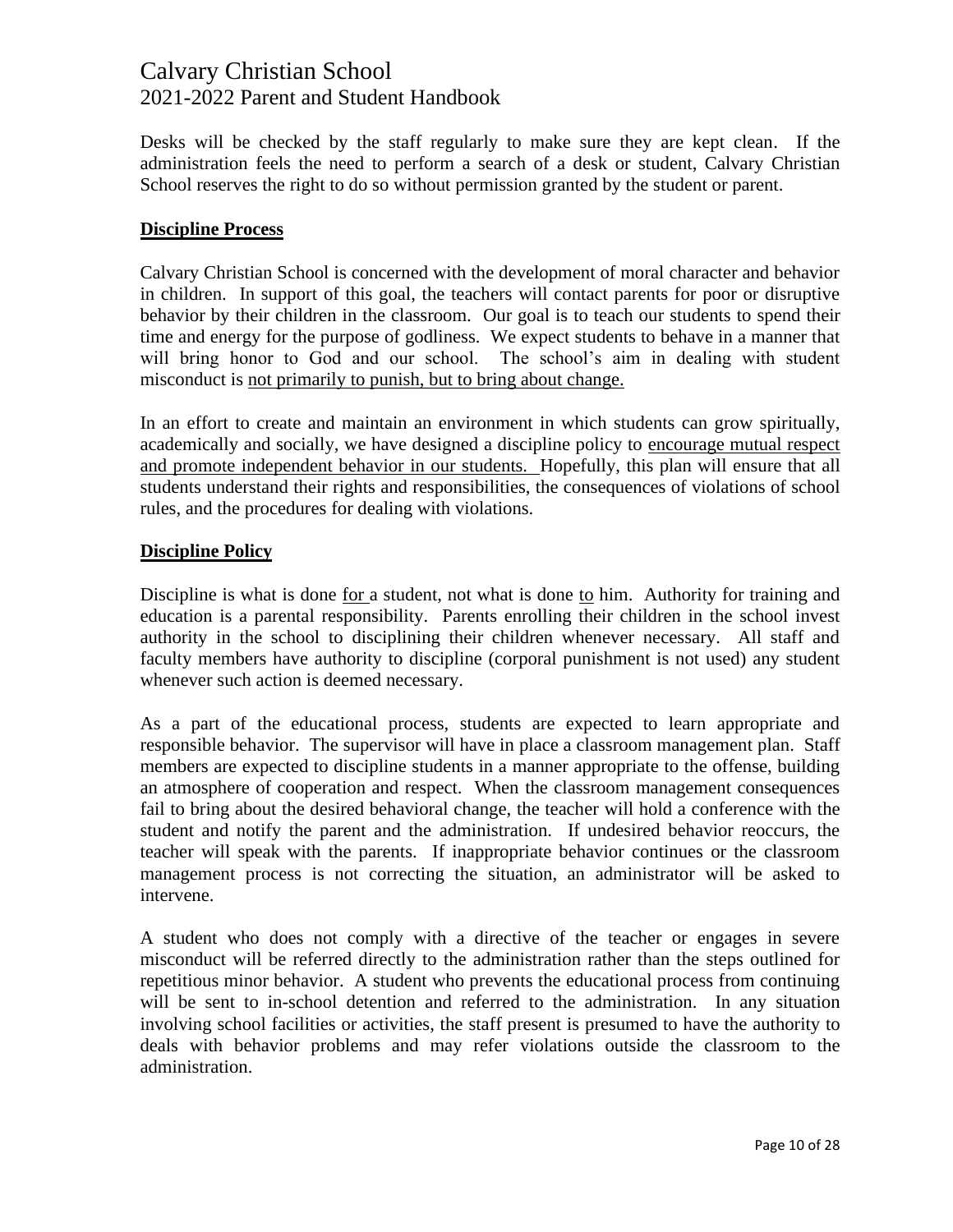Desks will be checked by the staff regularly to make sure they are kept clean. If the administration feels the need to perform a search of a desk or student, Calvary Christian School reserves the right to do so without permission granted by the student or parent.

### **Discipline Process**

Calvary Christian School is concerned with the development of moral character and behavior in children. In support of this goal, the teachers will contact parents for poor or disruptive behavior by their children in the classroom. Our goal is to teach our students to spend their time and energy for the purpose of godliness. We expect students to behave in a manner that will bring honor to God and our school. The school's aim in dealing with student misconduct is not primarily to punish, but to bring about change.

In an effort to create and maintain an environment in which students can grow spiritually, academically and socially, we have designed a discipline policy to encourage mutual respect and promote independent behavior in our students. Hopefully, this plan will ensure that all students understand their rights and responsibilities, the consequences of violations of school rules, and the procedures for dealing with violations.

### **Discipline Policy**

Discipline is what is done for a student, not what is done to him. Authority for training and education is a parental responsibility. Parents enrolling their children in the school invest authority in the school to disciplining their children whenever necessary. All staff and faculty members have authority to discipline (corporal punishment is not used) any student whenever such action is deemed necessary.

As a part of the educational process, students are expected to learn appropriate and responsible behavior. The supervisor will have in place a classroom management plan. Staff members are expected to discipline students in a manner appropriate to the offense, building an atmosphere of cooperation and respect. When the classroom management consequences fail to bring about the desired behavioral change, the teacher will hold a conference with the student and notify the parent and the administration. If undesired behavior reoccurs, the teacher will speak with the parents. If inappropriate behavior continues or the classroom management process is not correcting the situation, an administrator will be asked to intervene.

A student who does not comply with a directive of the teacher or engages in severe misconduct will be referred directly to the administration rather than the steps outlined for repetitious minor behavior. A student who prevents the educational process from continuing will be sent to in-school detention and referred to the administration. In any situation involving school facilities or activities, the staff present is presumed to have the authority to deals with behavior problems and may refer violations outside the classroom to the administration.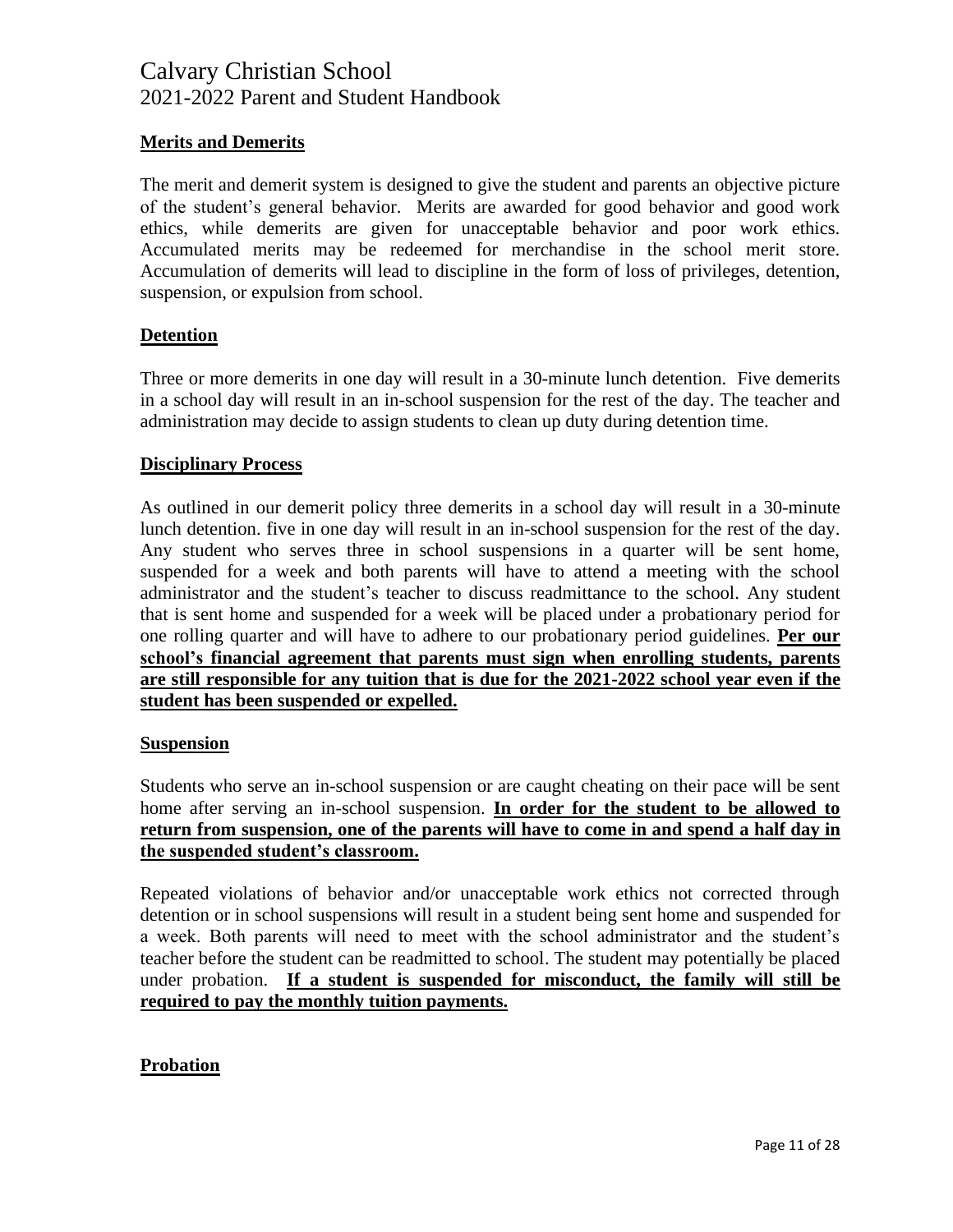### **Merits and Demerits**

The merit and demerit system is designed to give the student and parents an objective picture of the student's general behavior. Merits are awarded for good behavior and good work ethics, while demerits are given for unacceptable behavior and poor work ethics. Accumulated merits may be redeemed for merchandise in the school merit store. Accumulation of demerits will lead to discipline in the form of loss of privileges, detention, suspension, or expulsion from school.

#### **Detention**

Three or more demerits in one day will result in a 30-minute lunch detention. Five demerits in a school day will result in an in-school suspension for the rest of the day. The teacher and administration may decide to assign students to clean up duty during detention time.

#### **Disciplinary Process**

As outlined in our demerit policy three demerits in a school day will result in a 30-minute lunch detention. five in one day will result in an in-school suspension for the rest of the day. Any student who serves three in school suspensions in a quarter will be sent home, suspended for a week and both parents will have to attend a meeting with the school administrator and the student's teacher to discuss readmittance to the school. Any student that is sent home and suspended for a week will be placed under a probationary period for one rolling quarter and will have to adhere to our probationary period guidelines. **Per our school's financial agreement that parents must sign when enrolling students, parents are still responsible for any tuition that is due for the 2021-2022 school year even if the student has been suspended or expelled.** 

#### **Suspension**

Students who serve an in-school suspension or are caught cheating on their pace will be sent home after serving an in-school suspension. **In order for the student to be allowed to return from suspension, one of the parents will have to come in and spend a half day in the suspended student's classroom.**

Repeated violations of behavior and/or unacceptable work ethics not corrected through detention or in school suspensions will result in a student being sent home and suspended for a week. Both parents will need to meet with the school administrator and the student's teacher before the student can be readmitted to school. The student may potentially be placed under probation. **If a student is suspended for misconduct, the family will still be required to pay the monthly tuition payments.**

#### **Probation**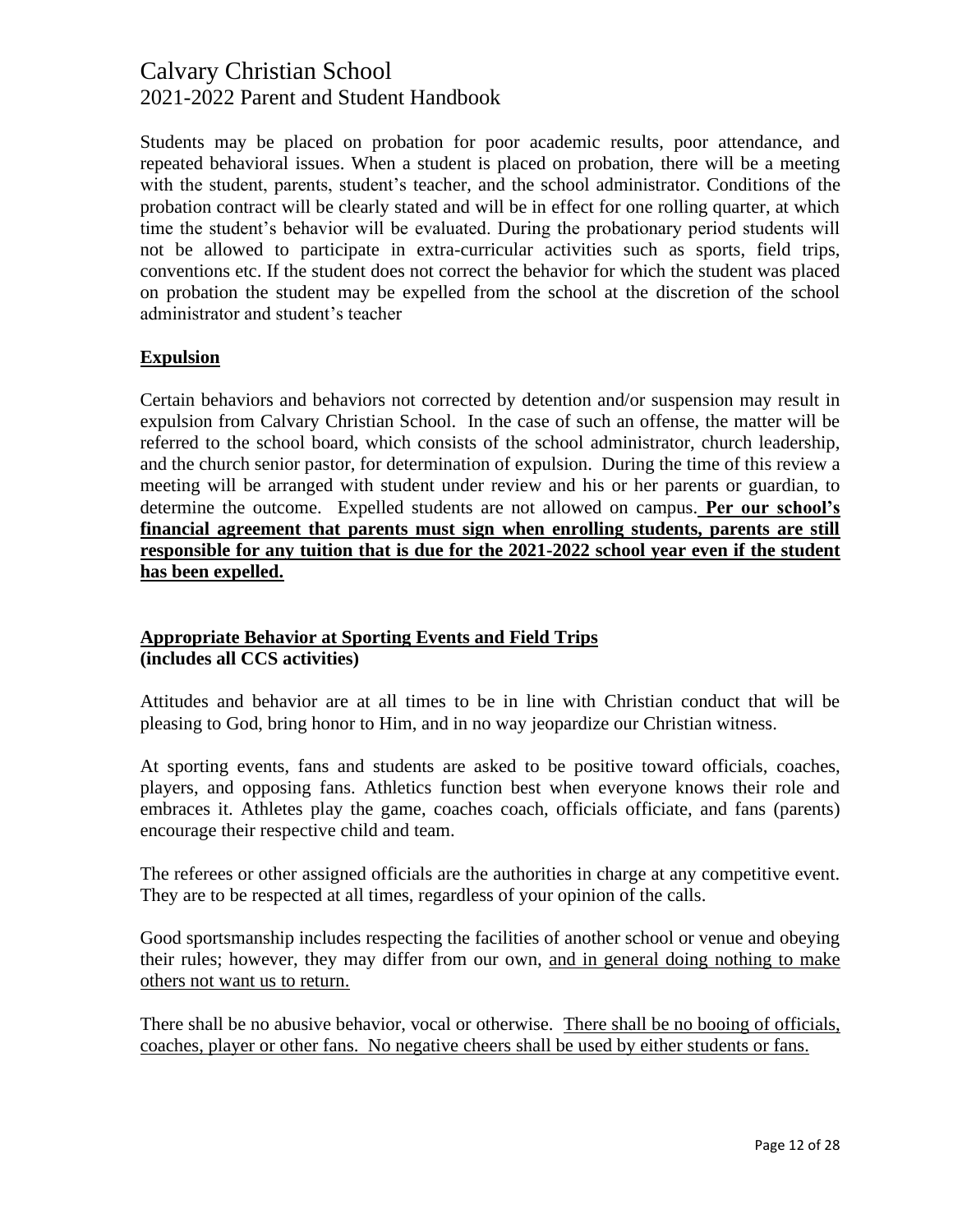Students may be placed on probation for poor academic results, poor attendance, and repeated behavioral issues. When a student is placed on probation, there will be a meeting with the student, parents, student's teacher, and the school administrator. Conditions of the probation contract will be clearly stated and will be in effect for one rolling quarter, at which time the student's behavior will be evaluated. During the probationary period students will not be allowed to participate in extra-curricular activities such as sports, field trips, conventions etc. If the student does not correct the behavior for which the student was placed on probation the student may be expelled from the school at the discretion of the school administrator and student's teacher

### **Expulsion**

Certain behaviors and behaviors not corrected by detention and/or suspension may result in expulsion from Calvary Christian School. In the case of such an offense, the matter will be referred to the school board, which consists of the school administrator, church leadership, and the church senior pastor, for determination of expulsion. During the time of this review a meeting will be arranged with student under review and his or her parents or guardian, to determine the outcome. Expelled students are not allowed on campus. **Per our school's financial agreement that parents must sign when enrolling students, parents are still responsible for any tuition that is due for the 2021-2022 school year even if the student has been expelled.** 

### **Appropriate Behavior at Sporting Events and Field Trips (includes all CCS activities)**

Attitudes and behavior are at all times to be in line with Christian conduct that will be pleasing to God, bring honor to Him, and in no way jeopardize our Christian witness.

At sporting events, fans and students are asked to be positive toward officials, coaches, players, and opposing fans. Athletics function best when everyone knows their role and embraces it. Athletes play the game, coaches coach, officials officiate, and fans (parents) encourage their respective child and team.

The referees or other assigned officials are the authorities in charge at any competitive event. They are to be respected at all times, regardless of your opinion of the calls.

Good sportsmanship includes respecting the facilities of another school or venue and obeying their rules; however, they may differ from our own, and in general doing nothing to make others not want us to return.

There shall be no abusive behavior, vocal or otherwise. There shall be no booing of officials, coaches, player or other fans. No negative cheers shall be used by either students or fans.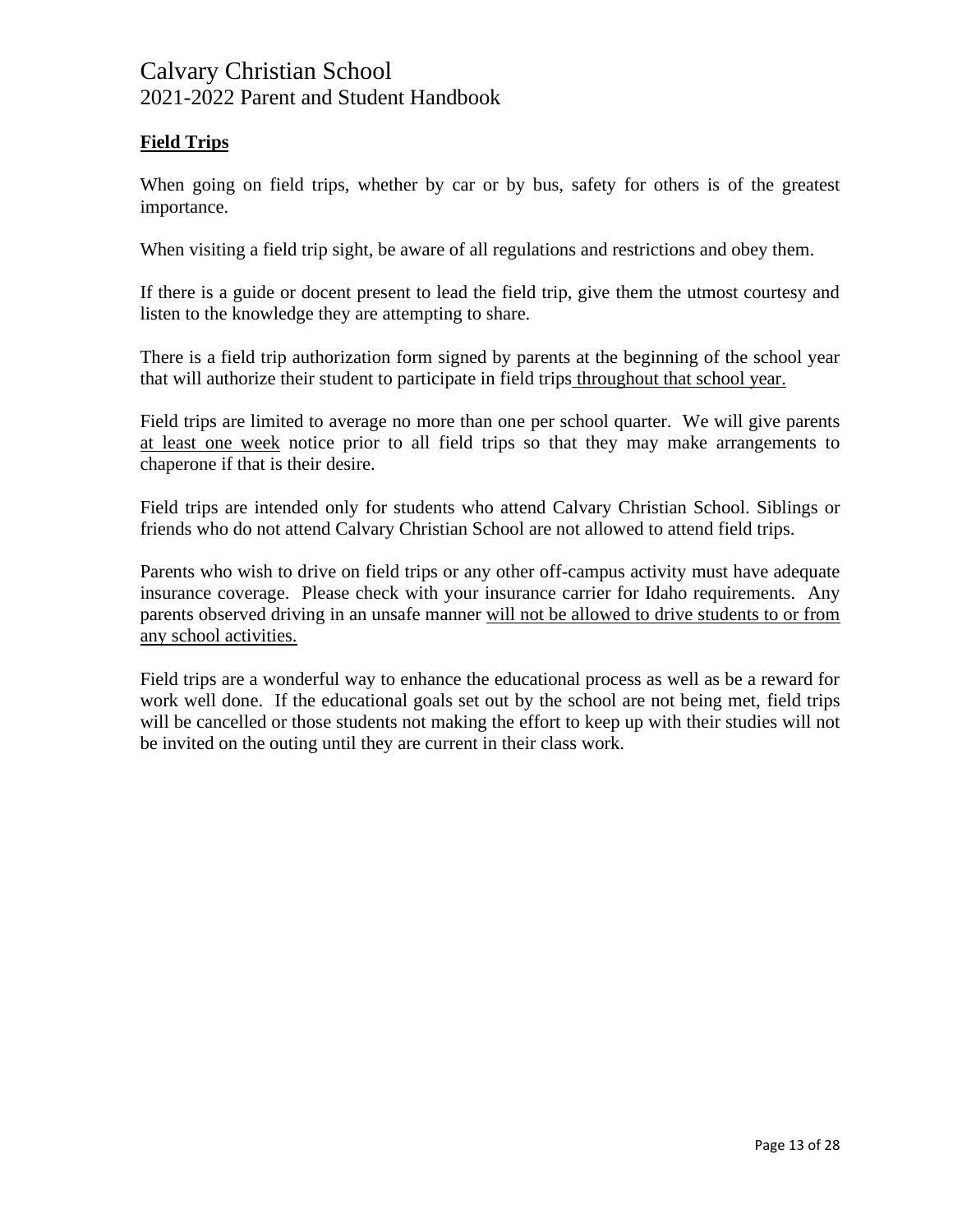### **Field Trips**

When going on field trips, whether by car or by bus, safety for others is of the greatest importance.

When visiting a field trip sight, be aware of all regulations and restrictions and obey them.

If there is a guide or docent present to lead the field trip, give them the utmost courtesy and listen to the knowledge they are attempting to share.

There is a field trip authorization form signed by parents at the beginning of the school year that will authorize their student to participate in field trips throughout that school year.

Field trips are limited to average no more than one per school quarter. We will give parents at least one week notice prior to all field trips so that they may make arrangements to chaperone if that is their desire.

Field trips are intended only for students who attend Calvary Christian School. Siblings or friends who do not attend Calvary Christian School are not allowed to attend field trips.

Parents who wish to drive on field trips or any other off-campus activity must have adequate insurance coverage. Please check with your insurance carrier for Idaho requirements. Any parents observed driving in an unsafe manner will not be allowed to drive students to or from any school activities.

Field trips are a wonderful way to enhance the educational process as well as be a reward for work well done. If the educational goals set out by the school are not being met, field trips will be cancelled or those students not making the effort to keep up with their studies will not be invited on the outing until they are current in their class work.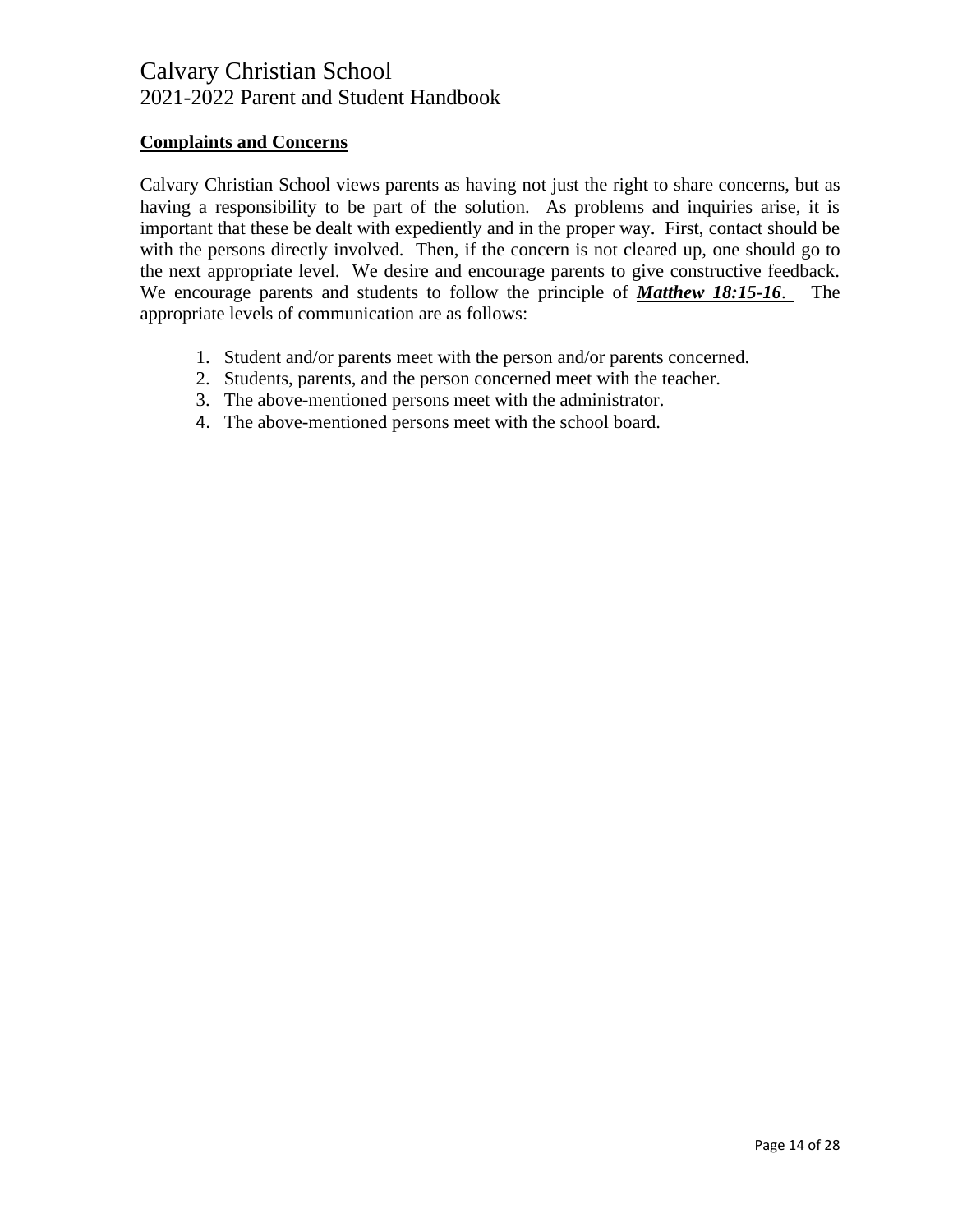### **Complaints and Concerns**

Calvary Christian School views parents as having not just the right to share concerns, but as having a responsibility to be part of the solution. As problems and inquiries arise, it is important that these be dealt with expediently and in the proper way. First, contact should be with the persons directly involved. Then, if the concern is not cleared up, one should go to the next appropriate level. We desire and encourage parents to give constructive feedback. We encourage parents and students to follow the principle of *Matthew 18:15-16*. The appropriate levels of communication are as follows:

- 1. Student and/or parents meet with the person and/or parents concerned.
- 2. Students, parents, and the person concerned meet with the teacher.
- 3. The above-mentioned persons meet with the administrator.
- 4. The above-mentioned persons meet with the school board.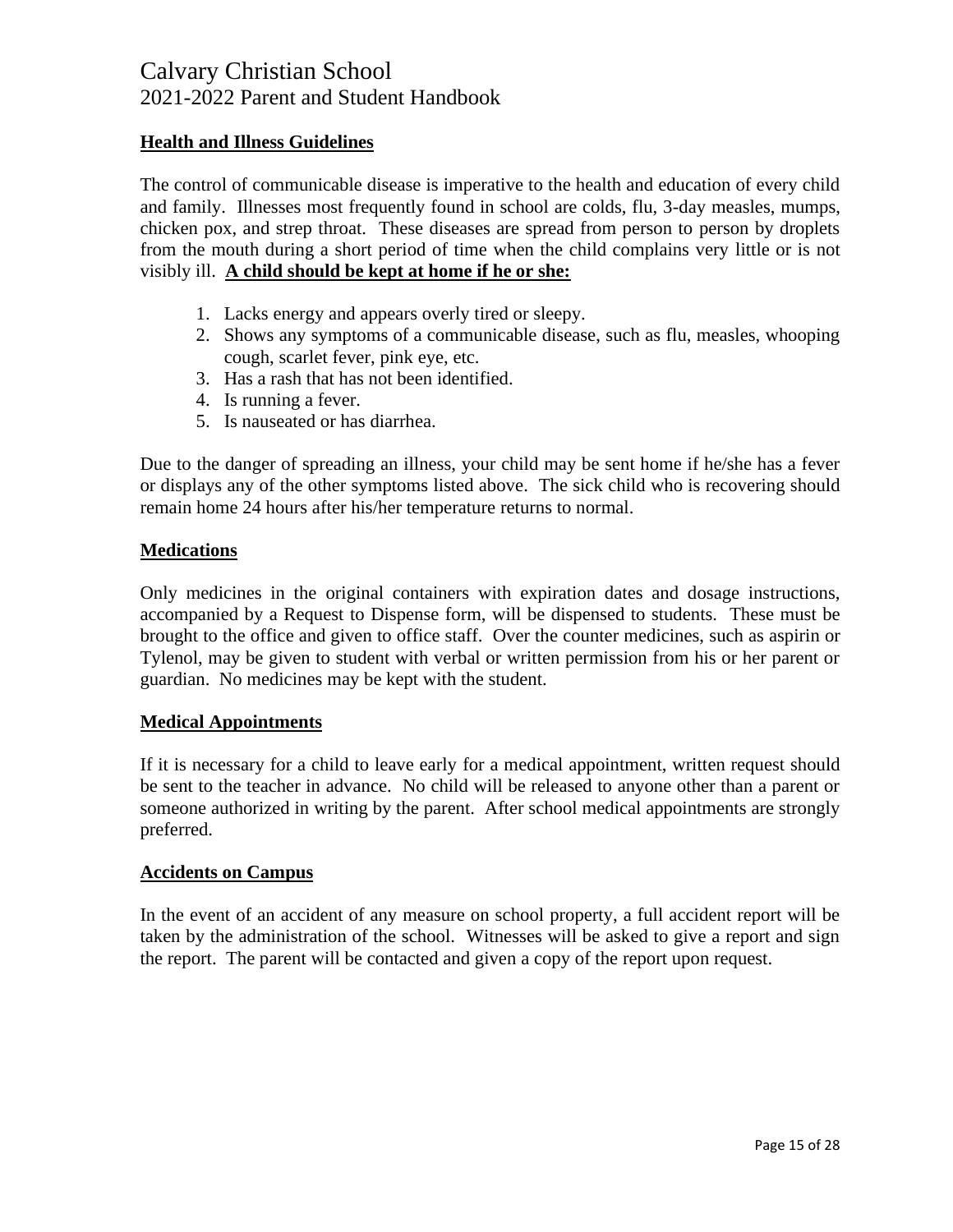### **Health and Illness Guidelines**

The control of communicable disease is imperative to the health and education of every child and family. Illnesses most frequently found in school are colds, flu, 3-day measles, mumps, chicken pox, and strep throat. These diseases are spread from person to person by droplets from the mouth during a short period of time when the child complains very little or is not visibly ill. **A child should be kept at home if he or she:**

- 1. Lacks energy and appears overly tired or sleepy.
- 2. Shows any symptoms of a communicable disease, such as flu, measles, whooping cough, scarlet fever, pink eye, etc.
- 3. Has a rash that has not been identified.
- 4. Is running a fever.
- 5. Is nauseated or has diarrhea.

Due to the danger of spreading an illness, your child may be sent home if he/she has a fever or displays any of the other symptoms listed above. The sick child who is recovering should remain home 24 hours after his/her temperature returns to normal.

#### **Medications**

Only medicines in the original containers with expiration dates and dosage instructions, accompanied by a Request to Dispense form, will be dispensed to students. These must be brought to the office and given to office staff. Over the counter medicines, such as aspirin or Tylenol, may be given to student with verbal or written permission from his or her parent or guardian. No medicines may be kept with the student.

#### **Medical Appointments**

If it is necessary for a child to leave early for a medical appointment, written request should be sent to the teacher in advance. No child will be released to anyone other than a parent or someone authorized in writing by the parent. After school medical appointments are strongly preferred.

#### **Accidents on Campus**

In the event of an accident of any measure on school property, a full accident report will be taken by the administration of the school. Witnesses will be asked to give a report and sign the report. The parent will be contacted and given a copy of the report upon request.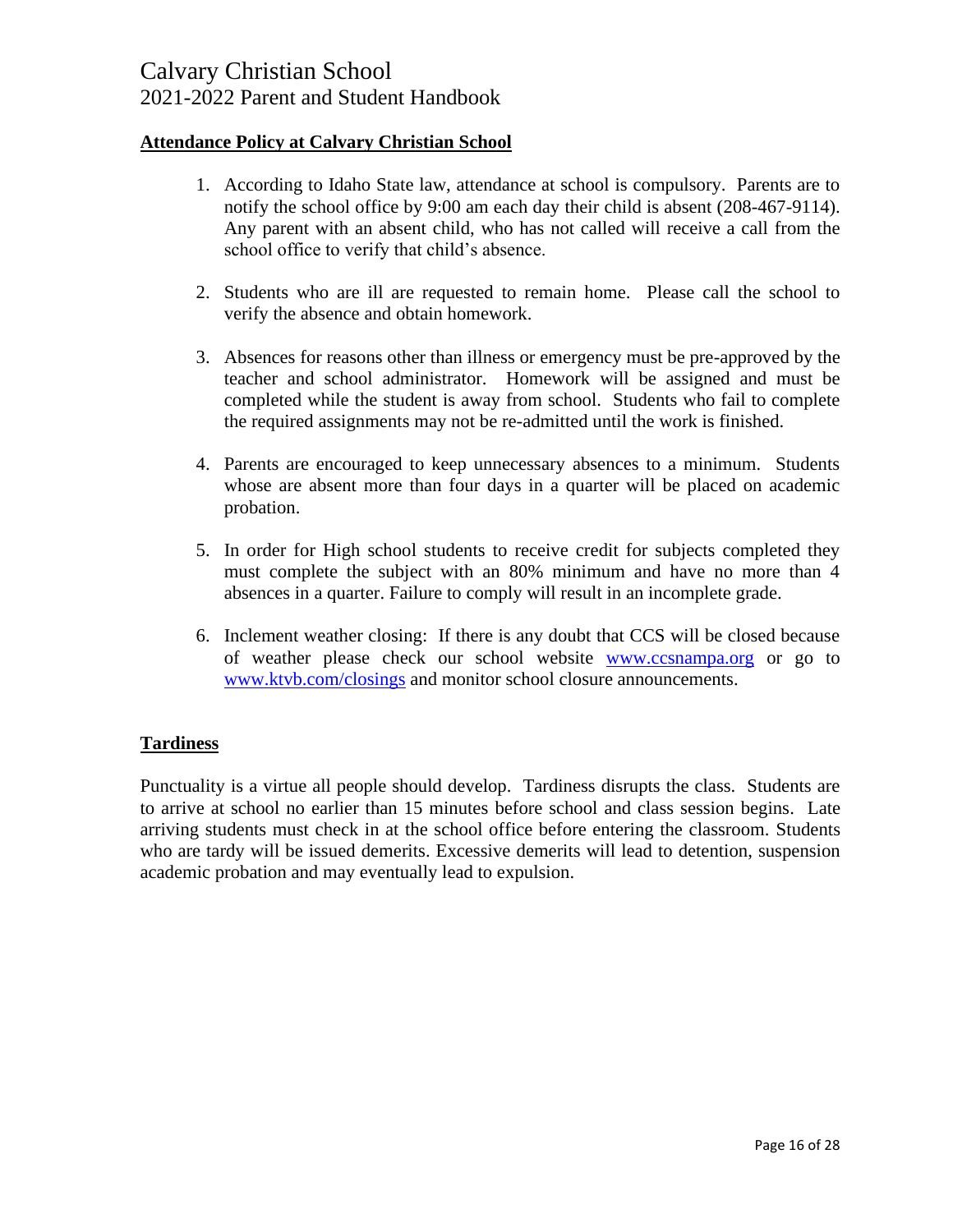### **Attendance Policy at Calvary Christian School**

- 1. According to Idaho State law, attendance at school is compulsory. Parents are to notify the school office by 9:00 am each day their child is absent (208-467-9114). Any parent with an absent child, who has not called will receive a call from the school office to verify that child's absence.
- 2. Students who are ill are requested to remain home. Please call the school to verify the absence and obtain homework.
- 3. Absences for reasons other than illness or emergency must be pre-approved by the teacher and school administrator. Homework will be assigned and must be completed while the student is away from school. Students who fail to complete the required assignments may not be re-admitted until the work is finished.
- 4. Parents are encouraged to keep unnecessary absences to a minimum. Students whose are absent more than four days in a quarter will be placed on academic probation.
- 5. In order for High school students to receive credit for subjects completed they must complete the subject with an 80% minimum and have no more than 4 absences in a quarter. Failure to comply will result in an incomplete grade.
- 6. Inclement weather closing: If there is any doubt that CCS will be closed because of weather please check our school website [www.ccsnampa.org](http://www.ccsnampa.org/) or go to [www.ktvb.com/closings](http://www.ktvb.com/closings) and monitor school closure announcements.

#### **Tardiness**

Punctuality is a virtue all people should develop. Tardiness disrupts the class. Students are to arrive at school no earlier than 15 minutes before school and class session begins. Late arriving students must check in at the school office before entering the classroom. Students who are tardy will be issued demerits. Excessive demerits will lead to detention, suspension academic probation and may eventually lead to expulsion.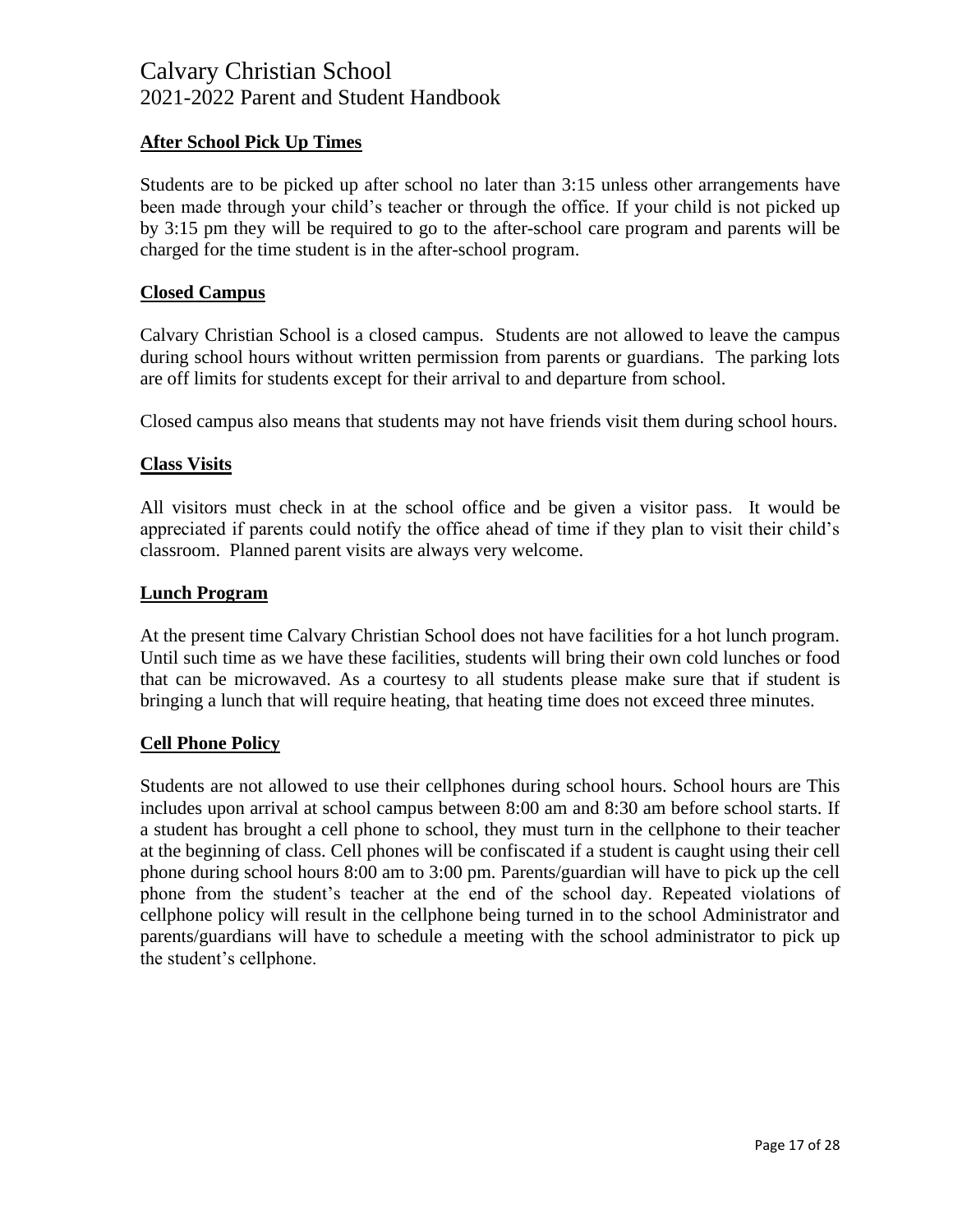### **After School Pick Up Times**

Students are to be picked up after school no later than 3:15 unless other arrangements have been made through your child's teacher or through the office. If your child is not picked up by 3:15 pm they will be required to go to the after-school care program and parents will be charged for the time student is in the after-school program.

### **Closed Campus**

Calvary Christian School is a closed campus. Students are not allowed to leave the campus during school hours without written permission from parents or guardians. The parking lots are off limits for students except for their arrival to and departure from school.

Closed campus also means that students may not have friends visit them during school hours.

#### **Class Visits**

All visitors must check in at the school office and be given a visitor pass. It would be appreciated if parents could notify the office ahead of time if they plan to visit their child's classroom. Planned parent visits are always very welcome.

#### **Lunch Program**

At the present time Calvary Christian School does not have facilities for a hot lunch program. Until such time as we have these facilities, students will bring their own cold lunches or food that can be microwaved. As a courtesy to all students please make sure that if student is bringing a lunch that will require heating, that heating time does not exceed three minutes.

#### **Cell Phone Policy**

Students are not allowed to use their cellphones during school hours. School hours are This includes upon arrival at school campus between 8:00 am and 8:30 am before school starts. If a student has brought a cell phone to school, they must turn in the cellphone to their teacher at the beginning of class. Cell phones will be confiscated if a student is caught using their cell phone during school hours 8:00 am to 3:00 pm. Parents/guardian will have to pick up the cell phone from the student's teacher at the end of the school day. Repeated violations of cellphone policy will result in the cellphone being turned in to the school Administrator and parents/guardians will have to schedule a meeting with the school administrator to pick up the student's cellphone.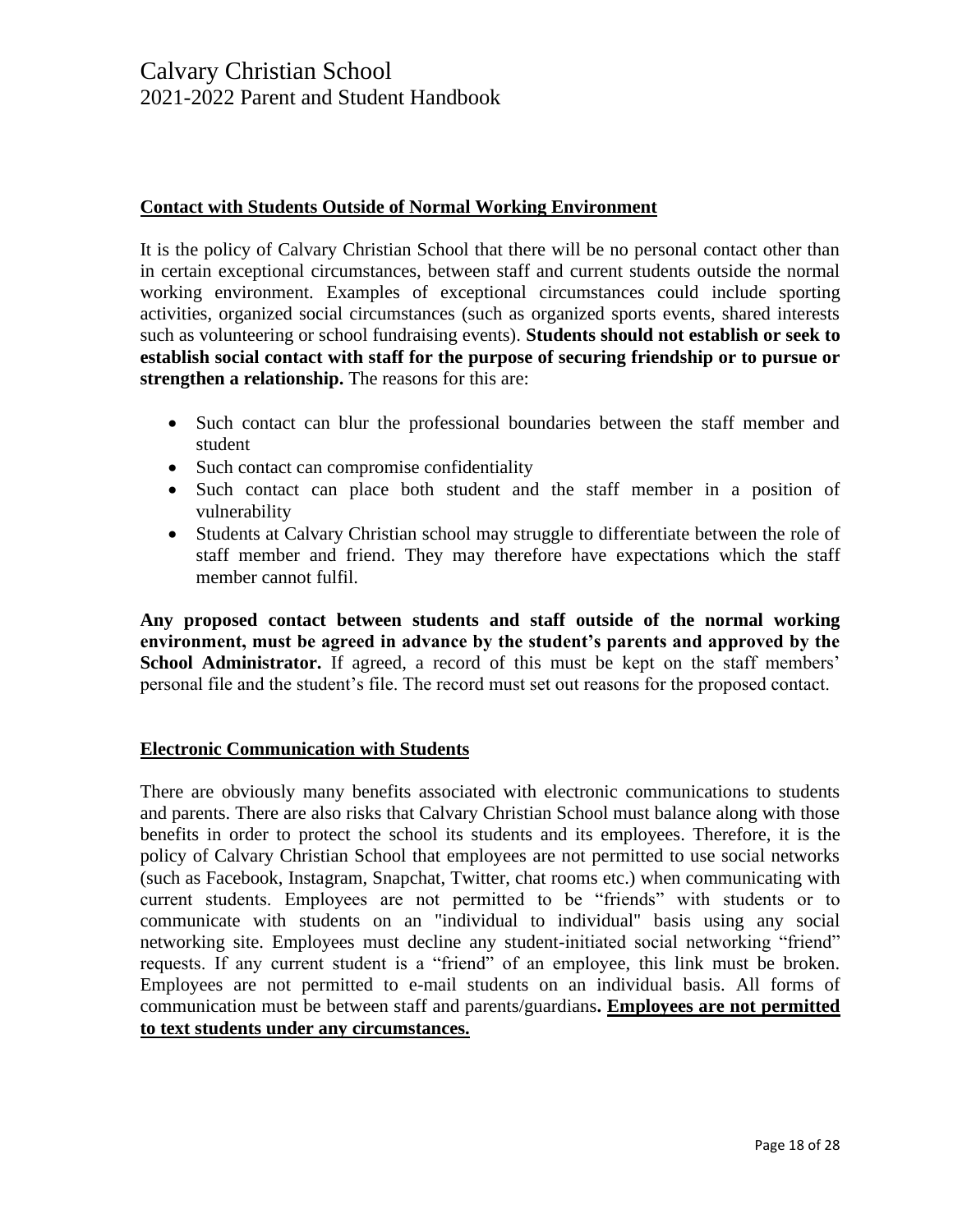### **Contact with Students Outside of Normal Working Environment**

It is the policy of Calvary Christian School that there will be no personal contact other than in certain exceptional circumstances, between staff and current students outside the normal working environment. Examples of exceptional circumstances could include sporting activities, organized social circumstances (such as organized sports events, shared interests such as volunteering or school fundraising events). **Students should not establish or seek to establish social contact with staff for the purpose of securing friendship or to pursue or strengthen a relationship.** The reasons for this are:

- Such contact can blur the professional boundaries between the staff member and student
- Such contact can compromise confidentiality
- Such contact can place both student and the staff member in a position of vulnerability
- Students at Calvary Christian school may struggle to differentiate between the role of staff member and friend. They may therefore have expectations which the staff member cannot fulfil.

**Any proposed contact between students and staff outside of the normal working environment, must be agreed in advance by the student's parents and approved by the**  School Administrator. If agreed, a record of this must be kept on the staff members' personal file and the student's file. The record must set out reasons for the proposed contact.

### **Electronic Communication with Students**

There are obviously many benefits associated with electronic communications to students and parents. There are also risks that Calvary Christian School must balance along with those benefits in order to protect the school its students and its employees. Therefore, it is the policy of Calvary Christian School that employees are not permitted to use social networks (such as Facebook, Instagram, Snapchat, Twitter, chat rooms etc.) when communicating with current students. Employees are not permitted to be "friends" with students or to communicate with students on an "individual to individual" basis using any social networking site. Employees must decline any student-initiated social networking "friend" requests. If any current student is a "friend" of an employee, this link must be broken. Employees are not permitted to e-mail students on an individual basis. All forms of communication must be between staff and parents/guardians**. Employees are not permitted to text students under any circumstances.**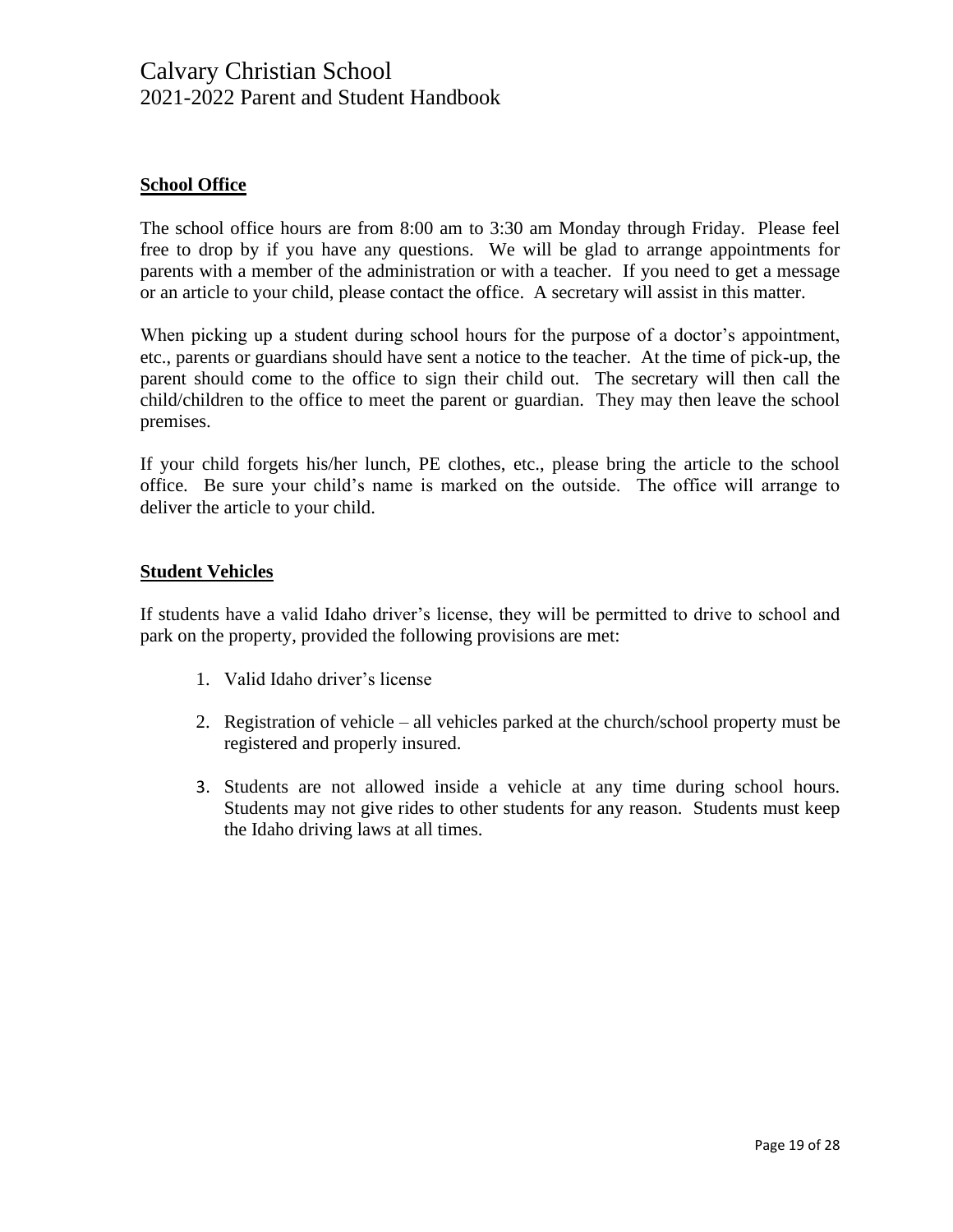### **School Office**

The school office hours are from 8:00 am to 3:30 am Monday through Friday. Please feel free to drop by if you have any questions. We will be glad to arrange appointments for parents with a member of the administration or with a teacher. If you need to get a message or an article to your child, please contact the office. A secretary will assist in this matter.

When picking up a student during school hours for the purpose of a doctor's appointment, etc., parents or guardians should have sent a notice to the teacher. At the time of pick-up, the parent should come to the office to sign their child out. The secretary will then call the child/children to the office to meet the parent or guardian. They may then leave the school premises.

If your child forgets his/her lunch, PE clothes, etc., please bring the article to the school office. Be sure your child's name is marked on the outside. The office will arrange to deliver the article to your child.

#### **Student Vehicles**

If students have a valid Idaho driver's license, they will be permitted to drive to school and park on the property, provided the following provisions are met:

- 1. Valid Idaho driver's license
- 2. Registration of vehicle all vehicles parked at the church/school property must be registered and properly insured.
- 3. Students are not allowed inside a vehicle at any time during school hours. Students may not give rides to other students for any reason. Students must keep the Idaho driving laws at all times.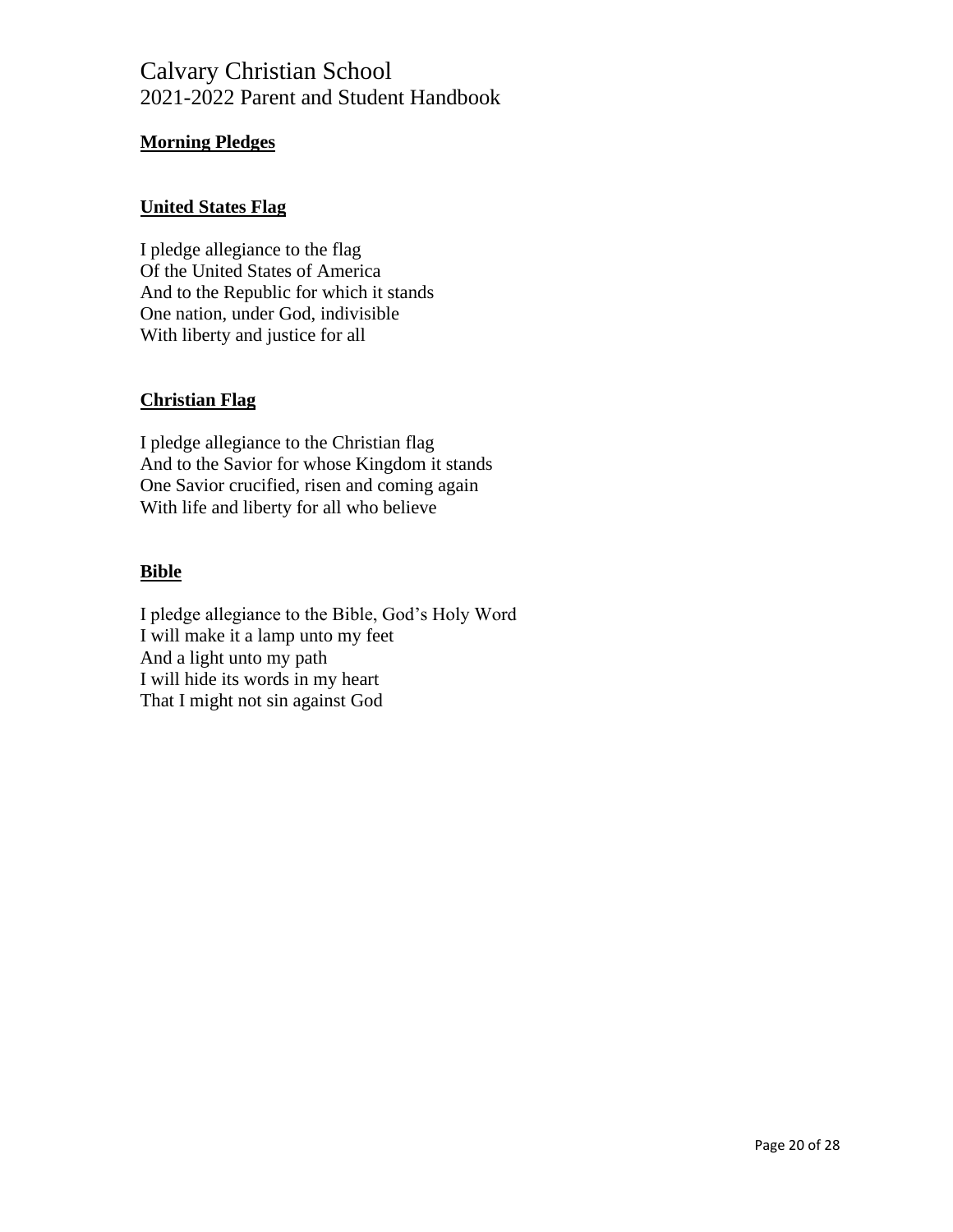### **Morning Pledges**

### **United States Flag**

I pledge allegiance to the flag Of the United States of America And to the Republic for which it stands One nation, under God, indivisible With liberty and justice for all

### **Christian Flag**

I pledge allegiance to the Christian flag And to the Savior for whose Kingdom it stands One Savior crucified, risen and coming again With life and liberty for all who believe

### **Bible**

I pledge allegiance to the Bible, God's Holy Word I will make it a lamp unto my feet And a light unto my path I will hide its words in my heart That I might not sin against God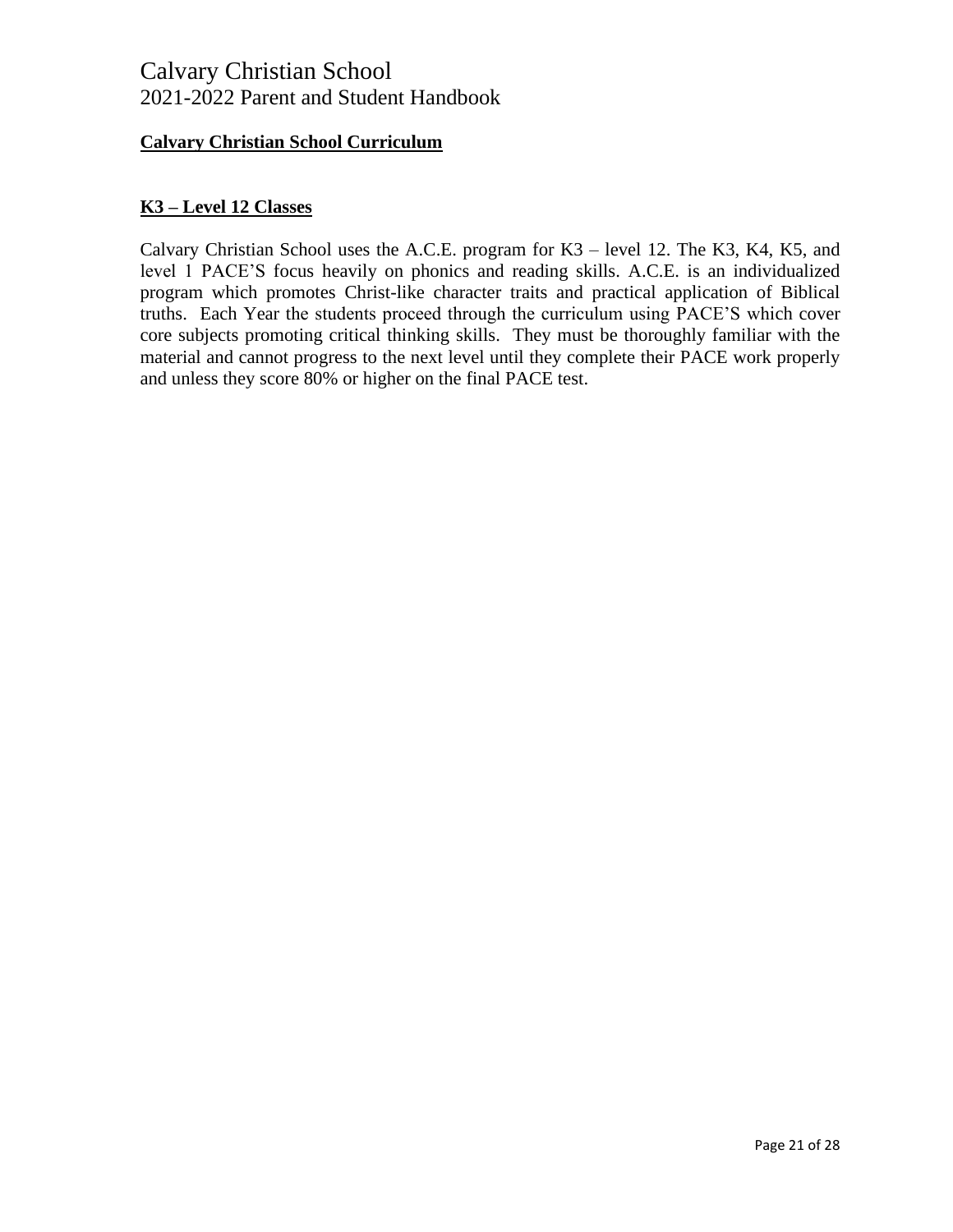### **Calvary Christian School Curriculum**

### **K3 – Level 12 Classes**

Calvary Christian School uses the A.C.E. program for K3 – level 12. The K3, K4, K5, and level 1 PACE'S focus heavily on phonics and reading skills. A.C.E. is an individualized program which promotes Christ-like character traits and practical application of Biblical truths. Each Year the students proceed through the curriculum using PACE'S which cover core subjects promoting critical thinking skills. They must be thoroughly familiar with the material and cannot progress to the next level until they complete their PACE work properly and unless they score 80% or higher on the final PACE test.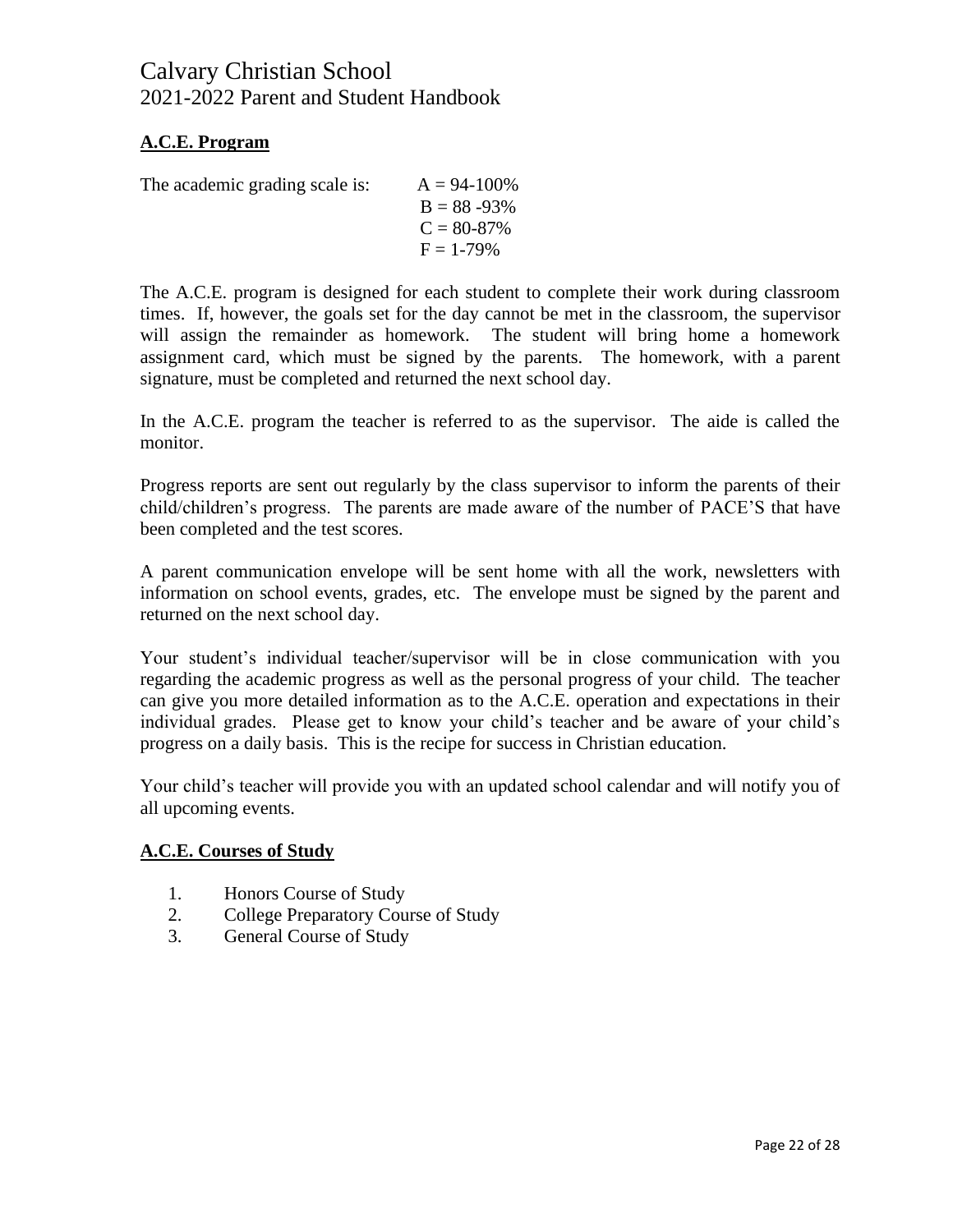### **A.C.E. Program**

The academic grading scale is:  $A = 94-100\%$ 

| $B = 88 - 93\%$ |
|-----------------|
| $C = 80-87\%$   |
| $F = 1-79\%$    |

The A.C.E. program is designed for each student to complete their work during classroom times. If, however, the goals set for the day cannot be met in the classroom, the supervisor will assign the remainder as homework. The student will bring home a homework assignment card, which must be signed by the parents. The homework, with a parent signature, must be completed and returned the next school day.

In the A.C.E. program the teacher is referred to as the supervisor. The aide is called the monitor.

Progress reports are sent out regularly by the class supervisor to inform the parents of their child/children's progress. The parents are made aware of the number of PACE'S that have been completed and the test scores.

A parent communication envelope will be sent home with all the work, newsletters with information on school events, grades, etc. The envelope must be signed by the parent and returned on the next school day.

Your student's individual teacher/supervisor will be in close communication with you regarding the academic progress as well as the personal progress of your child. The teacher can give you more detailed information as to the A.C.E. operation and expectations in their individual grades. Please get to know your child's teacher and be aware of your child's progress on a daily basis. This is the recipe for success in Christian education.

Your child's teacher will provide you with an updated school calendar and will notify you of all upcoming events.

### **A.C.E. Courses of Study**

- 1. Honors Course of Study
- 2. College Preparatory Course of Study
- 3. General Course of Study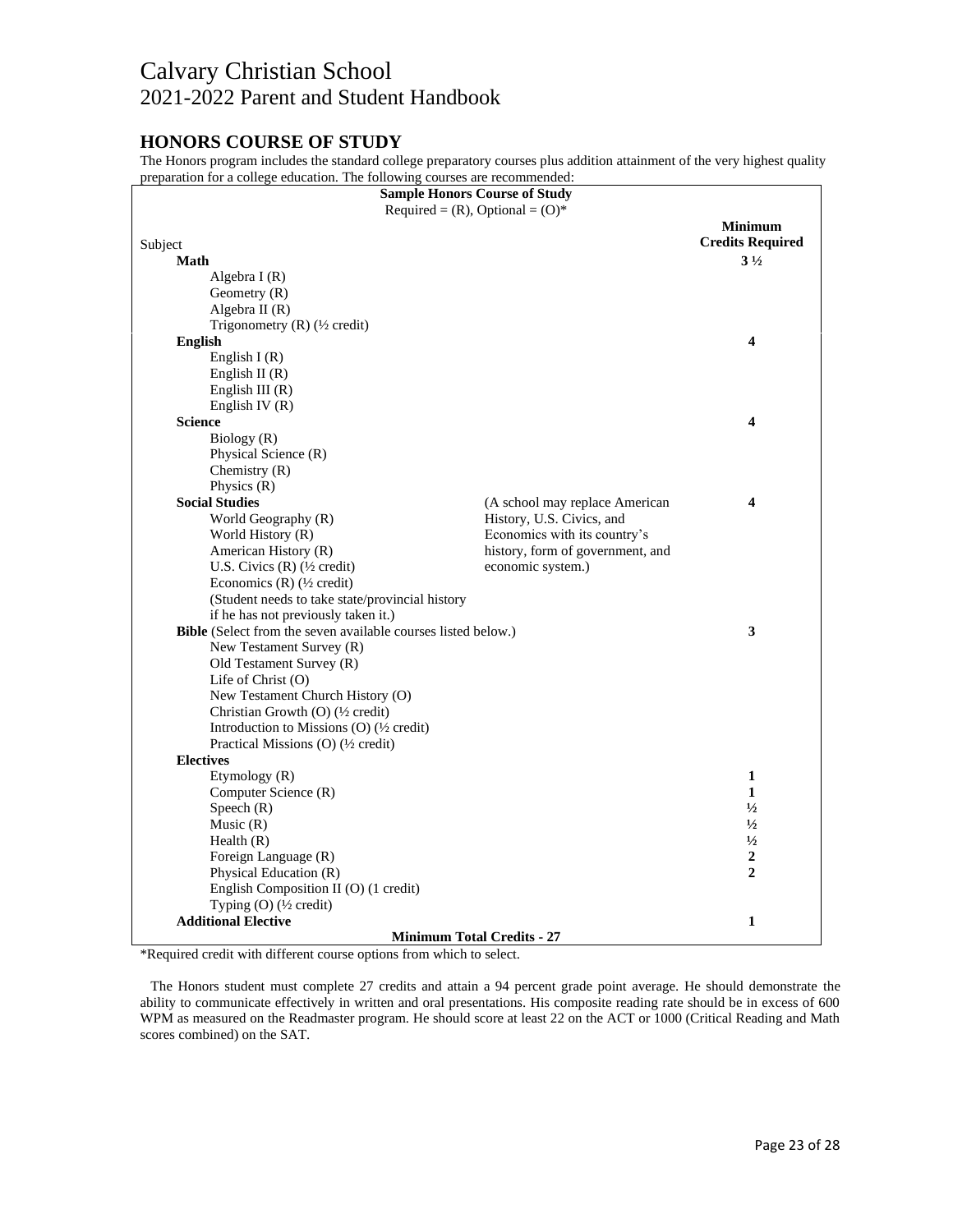### **HONORS COURSE OF STUDY**

The Honors program includes the standard college preparatory courses plus addition attainment of the very highest quality preparation for a college education. The following courses are recommended:

| <b>Sample Honors Course of Study</b>                          |                                  |                         |
|---------------------------------------------------------------|----------------------------------|-------------------------|
| Required = $(R)$ , Optional = $(O)^*$                         |                                  |                         |
|                                                               |                                  | <b>Minimum</b>          |
| Subject                                                       |                                  | <b>Credits Required</b> |
| <b>Math</b>                                                   |                                  | $3\frac{1}{2}$          |
| Algebra $I(R)$                                                |                                  |                         |
| Geometry $(R)$                                                |                                  |                         |
| Algebra II $(R)$                                              |                                  |                         |
| Trigonometry (R) $(\frac{1}{2} \text{ credit})$               |                                  |                         |
| English                                                       |                                  | $\overline{\mathbf{4}}$ |
| English I $(R)$                                               |                                  |                         |
| English II $(R)$                                              |                                  |                         |
| English III $(R)$                                             |                                  |                         |
| English IV $(R)$                                              |                                  |                         |
| <b>Science</b>                                                |                                  | 4                       |
| Biology (R)                                                   |                                  |                         |
| Physical Science (R)                                          |                                  |                         |
| Chemistry $(R)$                                               |                                  |                         |
| Physics $(R)$                                                 |                                  |                         |
| <b>Social Studies</b>                                         | (A school may replace American   | $\overline{\mathbf{4}}$ |
| World Geography (R)                                           | History, U.S. Civics, and        |                         |
| World History (R)                                             | Economics with its country's     |                         |
| American History (R)                                          | history, form of government, and |                         |
| U.S. Civics $(R)$ ( $\frac{1}{2}$ credit)                     | economic system.)                |                         |
| Economics $(R)$ ( $\frac{1}{2}$ credit)                       |                                  |                         |
| (Student needs to take state/provincial history               |                                  |                         |
| if he has not previously taken it.)                           |                                  |                         |
| Bible (Select from the seven available courses listed below.) |                                  | 3                       |
| New Testament Survey (R)                                      |                                  |                         |
| Old Testament Survey (R)                                      |                                  |                         |
| Life of Christ (O)                                            |                                  |                         |
| New Testament Church History (O)                              |                                  |                         |
| Christian Growth (O) (1/2 credit)                             |                                  |                         |
| Introduction to Missions (O) (1/2 credit)                     |                                  |                         |
| Practical Missions (O) (1/2 credit)                           |                                  |                         |
| <b>Electives</b>                                              |                                  |                         |
| Etymology (R)                                                 |                                  | 1                       |
| Computer Science (R)                                          |                                  | $\mathbf{1}$            |
| Speech $(R)$                                                  |                                  | $\frac{1}{2}$           |
| Music $(R)$                                                   |                                  | $\frac{1}{2}$           |
| Health $(R)$                                                  |                                  | $\frac{1}{2}$           |
| Foreign Language (R)                                          |                                  | 2                       |
| Physical Education (R)                                        |                                  | $\mathbf{2}$            |
| English Composition II (O) (1 credit)                         |                                  |                         |
| Typing $(O)$ ( $\frac{1}{2}$ credit)                          |                                  |                         |
| <b>Additional Elective</b>                                    |                                  | 1                       |
| <b>Minimum Total Credits - 27</b>                             |                                  |                         |

\*Required credit with different course options from which to select.

 The Honors student must complete 27 credits and attain a 94 percent grade point average. He should demonstrate the ability to communicate effectively in written and oral presentations. His composite reading rate should be in excess of 600 WPM as measured on the Readmaster program. He should score at least 22 on the ACT or 1000 (Critical Reading and Math scores combined) on the SAT.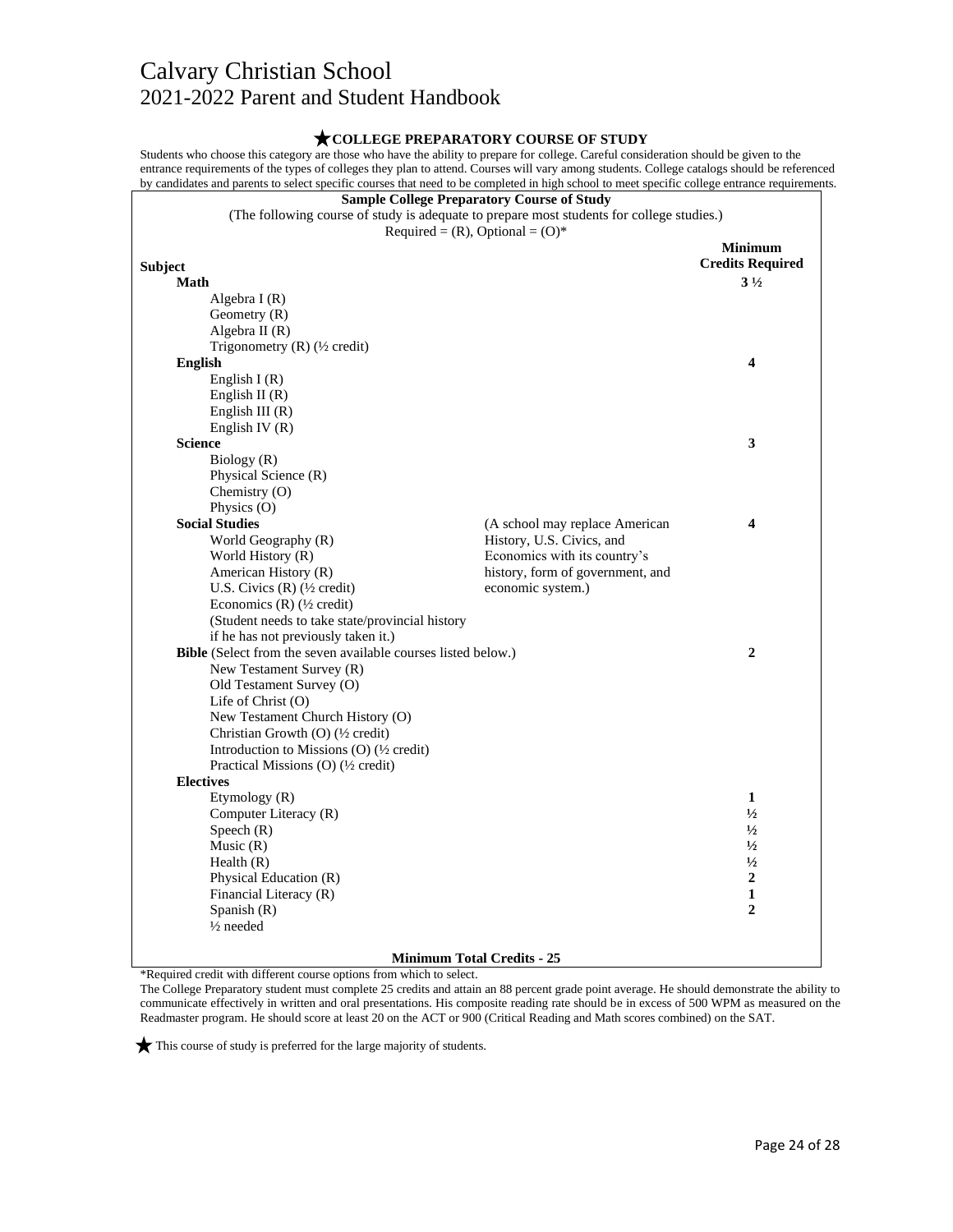#### **COLLEGE PREPARATORY COURSE OF STUDY** Students who choose this category are those who have the ability to prepare for college. Careful consideration should be given to the entrance requirements of the types of colleges they plan to attend. Courses will vary among students. College catalogs should be referenced by candidates and parents to select specific courses that need to be completed in high school to meet specific college entrance requirements. **Sample College Preparatory Course of Study** (The following course of study is adequate to prepare most students for college studies.) Required =  $(R)$ , Optional =  $(O)^*$ **Subject Minimum Credits Required Math** Algebra I (R) Geometry (R) Algebra II (R) Trigonometry (R) (½ credit) **3 ½ English** English I (R) English II (R) English III (R) English IV (R) **4 Science** Biology (R) Physical Science (R) Chemistry (O) Physics (O) **3 Social Studies** World Geography (R) World History (R) American History (R) U.S. Civics (R) (½ credit) Economics (R) (½ credit) (Student needs to take state/provincial history if he has not previously taken it.) (A school may replace American History, U.S. Civics, and Economics with its country's history, form of government, and economic system.) **4 Bible** (Select from the seven available courses listed below.) New Testament Survey (R) Old Testament Survey (O) Life of Christ (O) New Testament Church History (O) Christian Growth (O) (½ credit) Introduction to Missions (O) (½ credit) Practical Missions (O) (½ credit) **2 Electives** Etymology (R) Computer Literacy (R) Speech (R)  $Music(R)$ Health (R) Physical Education (R) Financial Literacy (R) Spanish (R) ½ needed **1**  $\frac{1}{2}$ **½ ½ ½ 2 1 2 Minimum Total Credits - 25**

\*Required credit with different course options from which to select.

The College Preparatory student must complete 25 credits and attain an 88 percent grade point average. He should demonstrate the ability to communicate effectively in written and oral presentations. His composite reading rate should be in excess of 500 WPM as measured on the Readmaster program. He should score at least 20 on the ACT or 900 (Critical Reading and Math scores combined) on the SAT.

This course of study is preferred for the large majority of students.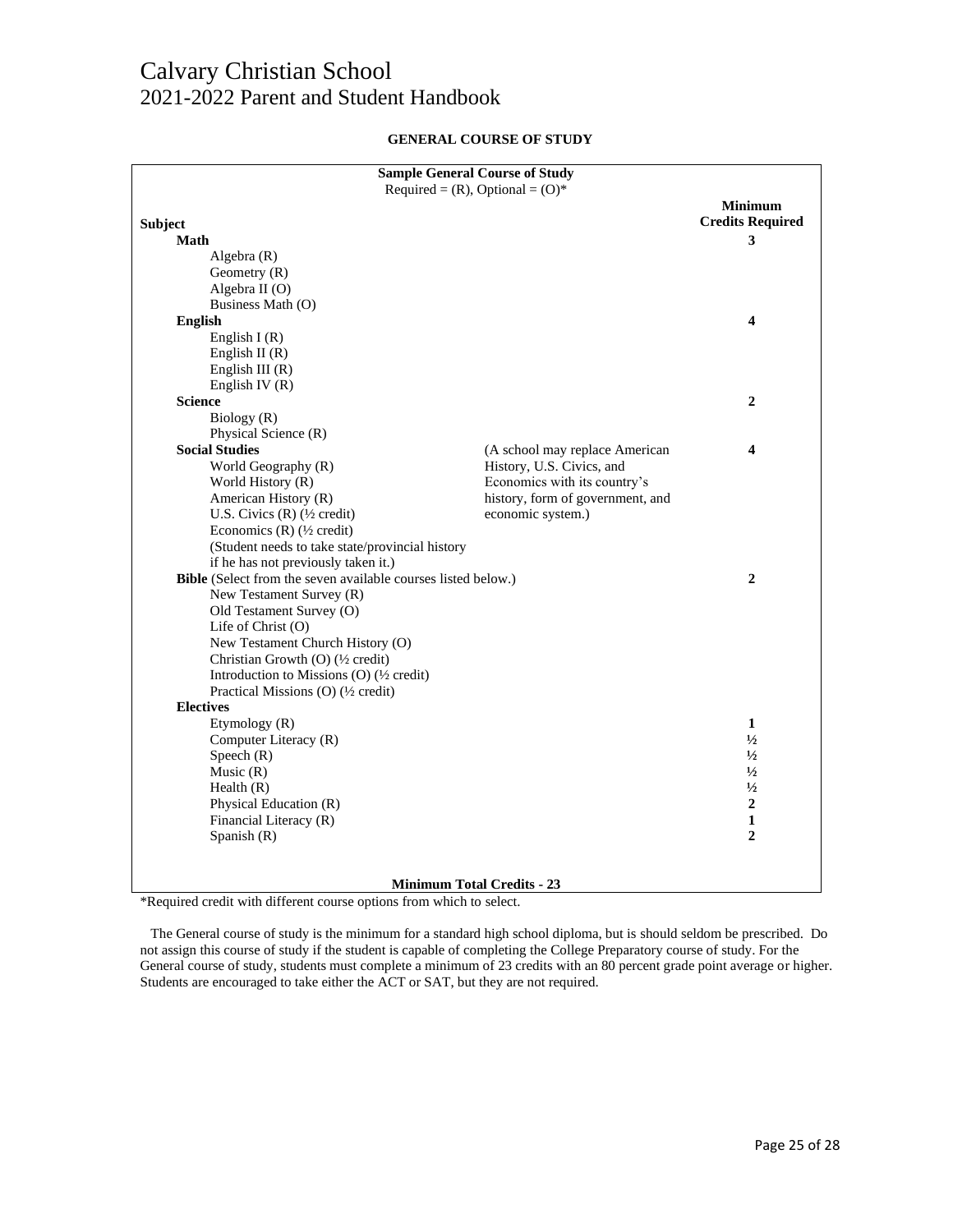| <b>GENERAL COURSE OF STUDY</b> |  |  |  |
|--------------------------------|--|--|--|
|--------------------------------|--|--|--|

| <b>Sample General Course of Study</b>                         |                                  |                         |  |  |
|---------------------------------------------------------------|----------------------------------|-------------------------|--|--|
| Required = $(R)$ , Optional = $(O)^*$                         |                                  |                         |  |  |
|                                                               |                                  | <b>Minimum</b>          |  |  |
| <b>Subject</b>                                                |                                  | <b>Credits Required</b> |  |  |
| Math                                                          |                                  | 3                       |  |  |
| Algebra $(R)$                                                 |                                  |                         |  |  |
| Geometry $(R)$                                                |                                  |                         |  |  |
| Algebra II (O)                                                |                                  |                         |  |  |
| Business Math (O)                                             |                                  |                         |  |  |
| <b>English</b>                                                |                                  | 4                       |  |  |
| English I $(R)$                                               |                                  |                         |  |  |
| English II $(R)$                                              |                                  |                         |  |  |
| English III $(R)$                                             |                                  |                         |  |  |
| English IV $(R)$                                              |                                  |                         |  |  |
| <b>Science</b>                                                |                                  | $\overline{2}$          |  |  |
| Biology (R)                                                   |                                  |                         |  |  |
| Physical Science (R)                                          |                                  |                         |  |  |
| <b>Social Studies</b>                                         | (A school may replace American   | 4                       |  |  |
| World Geography (R)                                           | History, U.S. Civics, and        |                         |  |  |
| World History (R)                                             | Economics with its country's     |                         |  |  |
| American History (R)                                          | history, form of government, and |                         |  |  |
| U.S. Civics $(R)$ ( $\frac{1}{2}$ credit)                     | economic system.)                |                         |  |  |
| Economics (R) $(\frac{1}{2} \text{ credit})$                  |                                  |                         |  |  |
| (Student needs to take state/provincial history               |                                  |                         |  |  |
| if he has not previously taken it.)                           |                                  |                         |  |  |
| Bible (Select from the seven available courses listed below.) |                                  | $\overline{2}$          |  |  |
| New Testament Survey (R)                                      |                                  |                         |  |  |
| Old Testament Survey (O)                                      |                                  |                         |  |  |
| Life of Christ (O)                                            |                                  |                         |  |  |
| New Testament Church History (O)                              |                                  |                         |  |  |
| Christian Growth (O) (1/2 credit)                             |                                  |                         |  |  |
| Introduction to Missions (O) $(\frac{1}{2} \text{ credit})$   |                                  |                         |  |  |
| Practical Missions (O) (1/2 credit)                           |                                  |                         |  |  |
| <b>Electives</b><br>Etymology (R)                             |                                  | 1                       |  |  |
|                                                               |                                  | $\frac{1}{2}$           |  |  |
| Computer Literacy (R)<br>Speech $(R)$                         |                                  | $\frac{1}{2}$           |  |  |
| Music $(R)$                                                   |                                  | $\frac{1}{2}$           |  |  |
| Health $(R)$                                                  |                                  | $\frac{1}{2}$           |  |  |
| Physical Education (R)                                        |                                  | $\boldsymbol{2}$        |  |  |
| Financial Literacy (R)                                        |                                  | 1                       |  |  |
| Spanish (R)                                                   |                                  | $\overline{2}$          |  |  |
|                                                               |                                  |                         |  |  |
|                                                               |                                  |                         |  |  |
| <b>Minimum Total Credits - 23</b>                             |                                  |                         |  |  |

\*Required credit with different course options from which to select.

 The General course of study is the minimum for a standard high school diploma, but is should seldom be prescribed. Do not assign this course of study if the student is capable of completing the College Preparatory course of study. For the General course of study, students must complete a minimum of 23 credits with an 80 percent grade point average or higher. Students are encouraged to take either the ACT or SAT, but they are not required.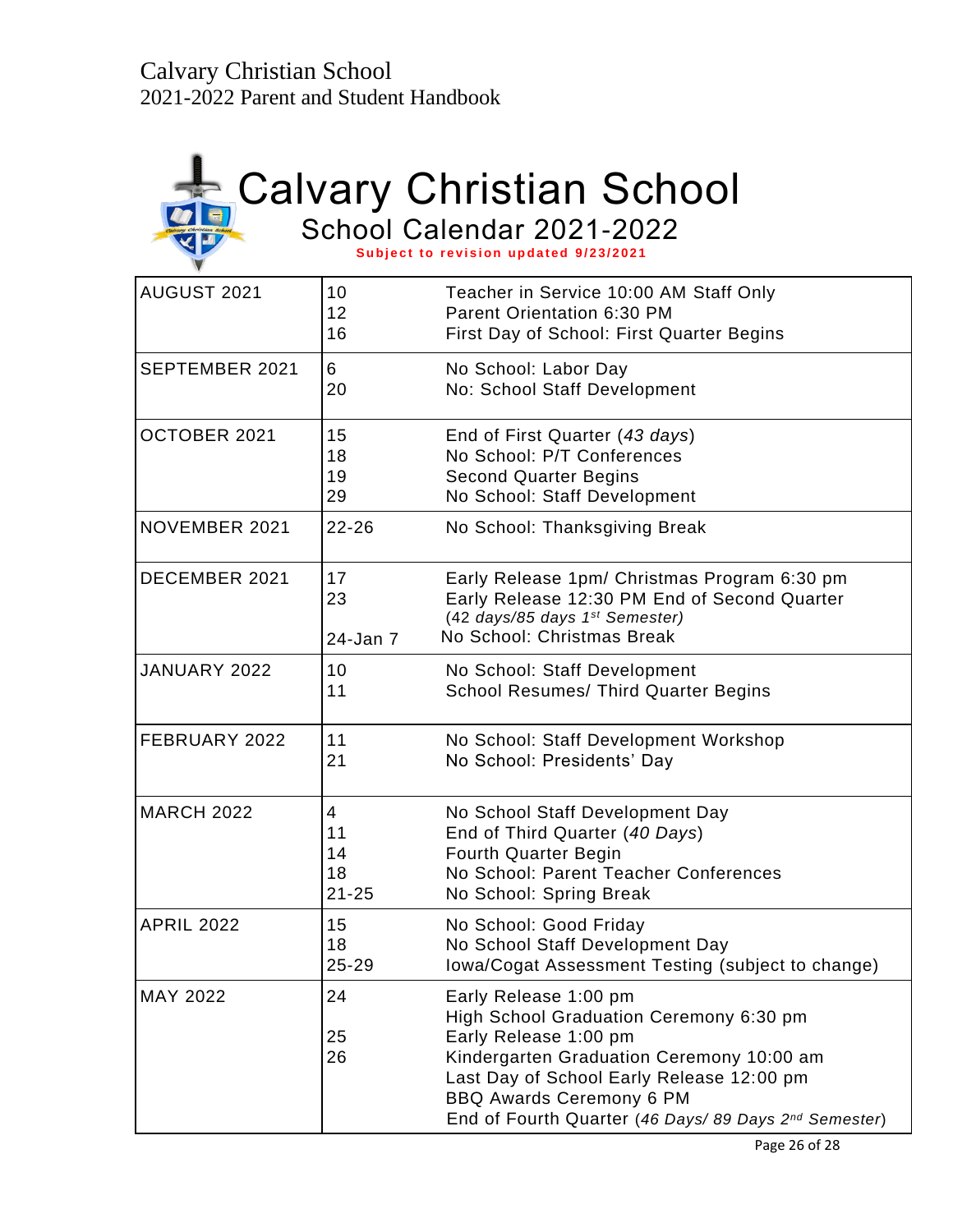

# Calvary Christian School

School Calendar 2021-2022

Subject to revision updated 9/23/2021

| AUGUST 2021       | 10<br>12<br>16                   | Teacher in Service 10:00 AM Staff Only<br>Parent Orientation 6:30 PM<br>First Day of School: First Quarter Begins                                                                                                                                                               |
|-------------------|----------------------------------|---------------------------------------------------------------------------------------------------------------------------------------------------------------------------------------------------------------------------------------------------------------------------------|
| SEPTEMBER 2021    | 6<br>20                          | No School: Labor Day<br>No: School Staff Development                                                                                                                                                                                                                            |
| OCTOBER 2021      | 15<br>18<br>19<br>29             | End of First Quarter (43 days)<br>No School: P/T Conferences<br><b>Second Quarter Begins</b><br>No School: Staff Development                                                                                                                                                    |
| NOVEMBER 2021     | $22 - 26$                        | No School: Thanksgiving Break                                                                                                                                                                                                                                                   |
| DECEMBER 2021     | 17<br>23<br>24-Jan 7             | Early Release 1pm/ Christmas Program 6:30 pm<br>Early Release 12:30 PM End of Second Quarter<br>(42 days/85 days 1st Semester)<br>No School: Christmas Break                                                                                                                    |
| JANUARY 2022      | 10<br>11                         | No School: Staff Development<br><b>School Resumes/ Third Quarter Begins</b>                                                                                                                                                                                                     |
| FEBRUARY 2022     | 11<br>21                         | No School: Staff Development Workshop<br>No School: Presidents' Day                                                                                                                                                                                                             |
| <b>MARCH 2022</b> | 4<br>11<br>14<br>18<br>$21 - 25$ | No School Staff Development Day<br>End of Third Quarter (40 Days)<br><b>Fourth Quarter Begin</b><br>No School: Parent Teacher Conferences<br>No School: Spring Break                                                                                                            |
| <b>APRIL 2022</b> | 15<br>18<br>25-29                | No School: Good Friday<br>No School Staff Development Day<br>Iowa/Cogat Assessment Testing (subject to change)                                                                                                                                                                  |
| <b>MAY 2022</b>   | 24<br>25<br>26                   | Early Release 1:00 pm<br>High School Graduation Ceremony 6:30 pm<br>Early Release 1:00 pm<br>Kindergarten Graduation Ceremony 10:00 am<br>Last Day of School Early Release 12:00 pm<br><b>BBQ Awards Ceremony 6 PM</b><br>End of Fourth Quarter (46 Days/ 89 Days 2nd Semester) |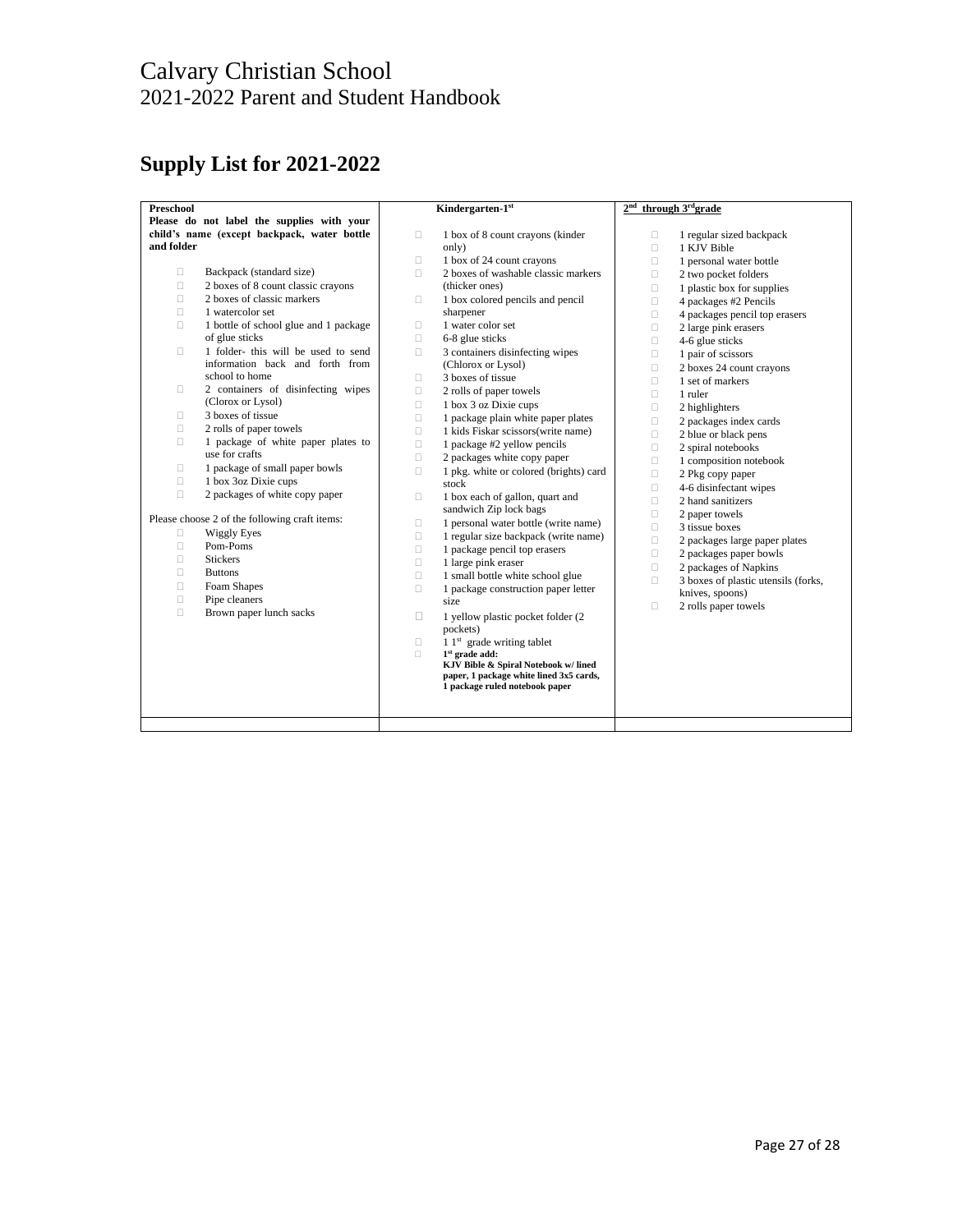## **Supply List for 2021-2022**

| Preschool  |                                               |        | Kindergarten-1st                                         | 2 <sup>nd</sup> | through 3rdgrade                    |
|------------|-----------------------------------------------|--------|----------------------------------------------------------|-----------------|-------------------------------------|
|            | Please do not label the supplies with your    |        |                                                          |                 |                                     |
|            | child's name (except backpack, water bottle   | $\Box$ | 1 box of 8 count crayons (kinder                         | $\Box$          | 1 regular sized backpack            |
| and folder |                                               |        | only)                                                    | о               | 1 KJV Bible                         |
|            |                                               | $\Box$ | 1 box of 24 count crayons                                | $\Box$          | 1 personal water bottle             |
| о          | Backpack (standard size)                      | П.     | 2 boxes of washable classic markers                      | $\Box$          | 2 two pocket folders                |
| $\Box$     | 2 boxes of 8 count classic crayons            |        | (thicker ones)                                           | $\Box$          | 1 plastic box for supplies          |
| $\Box$     | 2 boxes of classic markers                    | $\Box$ | 1 box colored pencils and pencil                         | о               | 4 packages #2 Pencils               |
| 0          | 1 watercolor set                              |        | sharpener                                                | $\Box$          | 4 packages pencil top erasers       |
| $\Box$     | 1 bottle of school glue and 1 package         | $\Box$ | 1 water color set                                        | $\Box$          | 2 large pink erasers                |
|            | of glue sticks                                | $\Box$ | 6-8 glue sticks                                          | $\Box$          | 4-6 glue sticks                     |
| 0          | 1 folder- this will be used to send           | П.     | 3 containers disinfecting wipes                          | о               | 1 pair of scissors                  |
|            | information back and forth from               |        | (Chlorox or Lysol)                                       | $\Box$          | 2 boxes 24 count crayons            |
|            | school to home                                | $\Box$ | 3 boxes of tissue                                        | $\Box$          | 1 set of markers                    |
| 0          | 2 containers of disinfecting wipes            | $\Box$ | 2 rolls of paper towels                                  | П               | 1 ruler                             |
|            | (Clorox or Lysol)                             | $\Box$ | 1 box 3 oz Dixie cups                                    | $\Box$          | 2 highlighters                      |
| 0          | 3 boxes of tissue                             | $\Box$ | 1 package plain white paper plates                       | $\Box$          | 2 packages index cards              |
| $\Box$     | 2 rolls of paper towels                       | $\Box$ | 1 kids Fiskar scissors(write name)                       | П               | 2 blue or black pens                |
| $\Box$     | 1 package of white paper plates to            | $\Box$ | 1 package #2 yellow pencils                              | $\Box$          | 2 spiral notebooks                  |
|            | use for crafts                                | $\Box$ | 2 packages white copy paper                              | $\Box$          | 1 composition notebook              |
| 0          | 1 package of small paper bowls                | $\Box$ | 1 pkg. white or colored (brights) card                   | $\Box$          | 2 Pkg copy paper                    |
| $\Box$     | 1 box 3oz Dixie cups                          |        | stock                                                    | $\Box$          | 4-6 disinfectant wipes              |
| 0          | 2 packages of white copy paper                | $\Box$ | 1 box each of gallon, quart and                          | $\Box$          | 2 hand sanitizers                   |
|            |                                               |        | sandwich Zip lock bags                                   | $\Box$          | 2 paper towels                      |
|            | Please choose 2 of the following craft items: | n      | 1 personal water bottle (write name)                     | $\Box$          | 3 tissue boxes                      |
| $\Box$     | <b>Wiggly Eyes</b>                            | $\Box$ | 1 regular size backpack (write name)                     | $\Box$          | 2 packages large paper plates       |
| $\Box$     | Pom-Poms                                      | $\Box$ | 1 package pencil top erasers                             | $\Box$          | 2 packages paper bowls              |
| $\Box$     | <b>Stickers</b>                               | п      | 1 large pink eraser                                      | $\Box$          | 2 packages of Napkins               |
| $\Box$     | <b>Buttons</b>                                | $\Box$ | 1 small bottle white school glue                         | о               | 3 boxes of plastic utensils (forks, |
| $\Box$     | Foam Shapes                                   | $\Box$ | 1 package construction paper letter                      |                 | knives, spoons)                     |
| $\Box$     | Pipe cleaners                                 |        | size                                                     | П               | 2 rolls paper towels                |
| 0          | Brown paper lunch sacks                       | п      | 1 yellow plastic pocket folder (2)                       |                 |                                     |
|            |                                               |        | pockets)                                                 |                 |                                     |
|            |                                               | $\Box$ | $11st$ grade writing tablet                              |                 |                                     |
|            |                                               | $\Box$ | $1st$ grade add:<br>KJV Bible & Spiral Notebook w/ lined |                 |                                     |
|            |                                               |        | paper, 1 package white lined 3x5 cards,                  |                 |                                     |
|            |                                               |        | 1 package ruled notebook paper                           |                 |                                     |
|            |                                               |        |                                                          |                 |                                     |
|            |                                               |        |                                                          |                 |                                     |
|            |                                               |        |                                                          |                 |                                     |